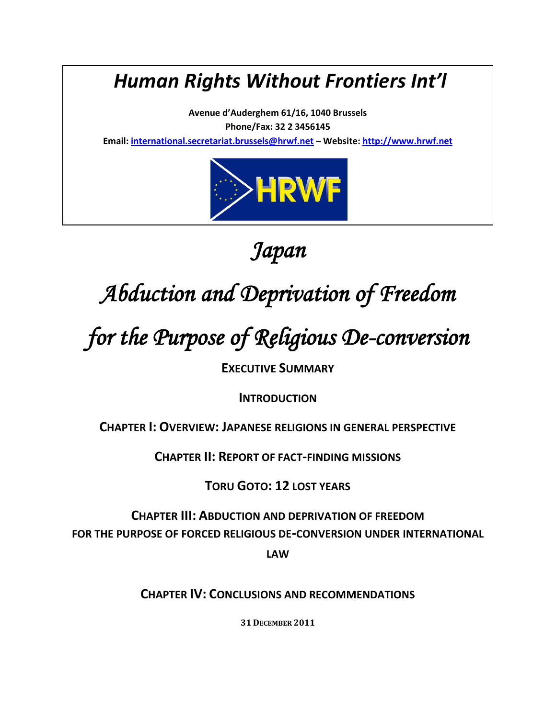## *Human Rights Without Frontiers Int'l*

**Avenue d'Auderghem 61/16, 1040 Brussels Phone/Fax: 32 2 3456145** 

**Email: [international.secretariat.brussels@hrwf.net](mailto:international.secretariat.brussels@hrwf.net) – Website: [http://www.hrwf.net](http://www.hrwf.net/)**



*Japan* 

# *Abduction and Deprivation of Freedom*

# *for the Purpose of Religious De-conversion*

**EXECUTIVE SUMMARY**

**INTRODUCTION**

**CHAPTER I: OVERVIEW: JAPANESE RELIGIONS IN GENERAL PERSPECTIVE**

**CHAPTER II: REPORT OF FACT-FINDING MISSIONS**

**TORU GOTO: 12 LOST YEARS**

**CHAPTER III: ABDUCTION AND DEPRIVATION OF FREEDOM FOR THE PURPOSE OF FORCED RELIGIOUS DE-CONVERSION UNDER INTERNATIONAL** 

**LAW**

**CHAPTER IV: CONCLUSIONS AND RECOMMENDATIONS**

**31 DECEMBER 2011**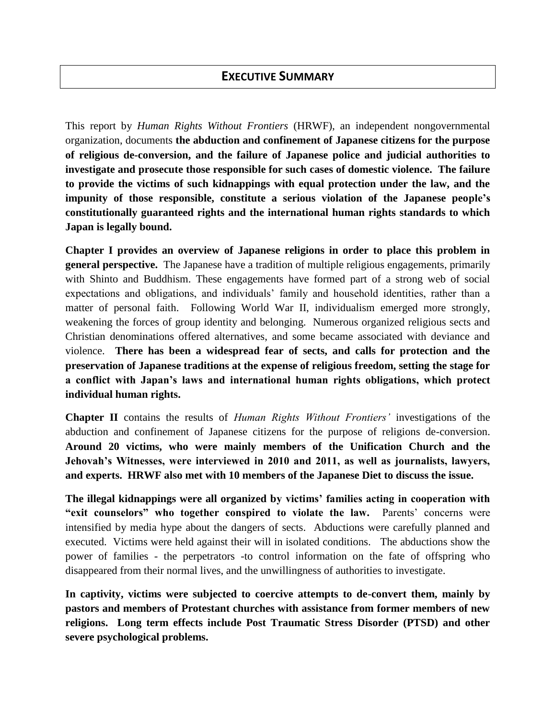## **EXECUTIVE SUMMARY**

This report by *Human Rights Without Frontiers* (HRWF), an independent nongovernmental organization, documents **the abduction and confinement of Japanese citizens for the purpose of religious de-conversion, and the failure of Japanese police and judicial authorities to investigate and prosecute those responsible for such cases of domestic violence. The failure to provide the victims of such kidnappings with equal protection under the law, and the impunity of those responsible, constitute a serious violation of the Japanese people's constitutionally guaranteed rights and the international human rights standards to which Japan is legally bound.**

**Chapter I provides an overview of Japanese religions in order to place this problem in general perspective.** The Japanese have a tradition of multiple religious engagements, primarily with Shinto and Buddhism. These engagements have formed part of a strong web of social expectations and obligations, and individuals' family and household identities, rather than a matter of personal faith. Following World War II, individualism emerged more strongly, weakening the forces of group identity and belonging. Numerous organized religious sects and Christian denominations offered alternatives, and some became associated with deviance and violence. **There has been a widespread fear of sects, and calls for protection and the preservation of Japanese traditions at the expense of religious freedom, setting the stage for a conflict with Japan's laws and international human rights obligations, which protect individual human rights.**

**Chapter II** contains the results of *Human Rights Without Frontiers'* investigations of the abduction and confinement of Japanese citizens for the purpose of religions de-conversion. **Around 20 victims, who were mainly members of the Unification Church and the Jehovah's Witnesses, were interviewed in 2010 and 2011, as well as journalists, lawyers, and experts. HRWF also met with 10 members of the Japanese Diet to discuss the issue.**

**The illegal kidnappings were all organized by victims' families acting in cooperation with "exit counselors" who together conspired to violate the law.** Parents' concerns were intensified by media hype about the dangers of sects. Abductions were carefully planned and executed. Victims were held against their will in isolated conditions. The abductions show the power of families - the perpetrators -to control information on the fate of offspring who disappeared from their normal lives, and the unwillingness of authorities to investigate.

**In captivity, victims were subjected to coercive attempts to de-convert them, mainly by pastors and members of Protestant churches with assistance from former members of new religions. Long term effects include Post Traumatic Stress Disorder (PTSD) and other severe psychological problems.**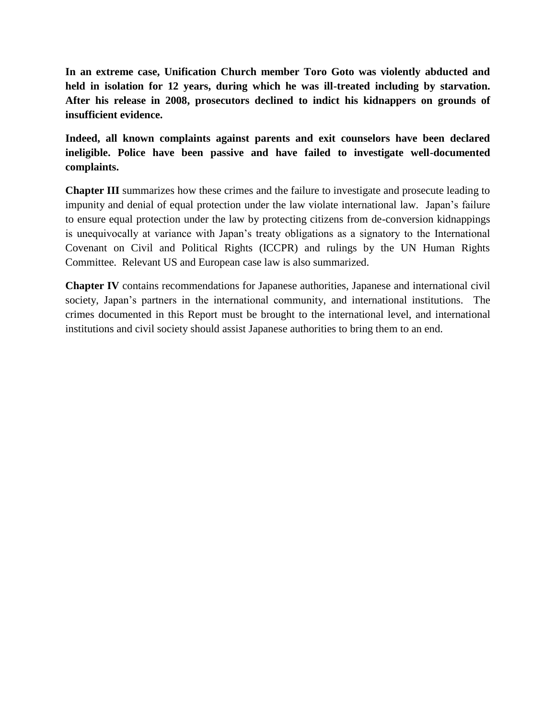**In an extreme case, Unification Church member Toro Goto was violently abducted and held in isolation for 12 years, during which he was ill-treated including by starvation. After his release in 2008, prosecutors declined to indict his kidnappers on grounds of insufficient evidence.** 

**Indeed, all known complaints against parents and exit counselors have been declared ineligible. Police have been passive and have failed to investigate well-documented complaints.**

**Chapter III** summarizes how these crimes and the failure to investigate and prosecute leading to impunity and denial of equal protection under the law violate international law. Japan's failure to ensure equal protection under the law by protecting citizens from de-conversion kidnappings is unequivocally at variance with Japan's treaty obligations as a signatory to the International Covenant on Civil and Political Rights (ICCPR) and rulings by the UN Human Rights Committee. Relevant US and European case law is also summarized.

**Chapter IV** contains recommendations for Japanese authorities, Japanese and international civil society, Japan's partners in the international community, and international institutions. The crimes documented in this Report must be brought to the international level, and international institutions and civil society should assist Japanese authorities to bring them to an end.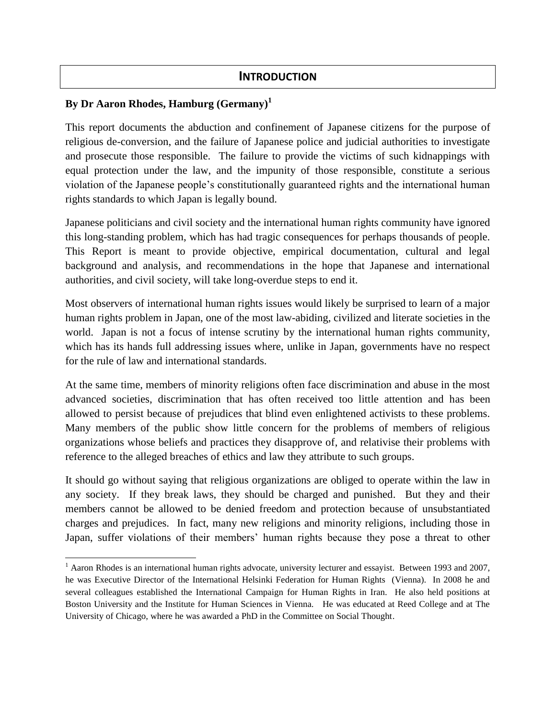## **INTRODUCTION**

## **By Dr Aaron Rhodes, Hamburg (Germany)<sup>1</sup>**

l

This report documents the abduction and confinement of Japanese citizens for the purpose of religious de-conversion, and the failure of Japanese police and judicial authorities to investigate and prosecute those responsible. The failure to provide the victims of such kidnappings with equal protection under the law, and the impunity of those responsible, constitute a serious violation of the Japanese people's constitutionally guaranteed rights and the international human rights standards to which Japan is legally bound.

Japanese politicians and civil society and the international human rights community have ignored this long-standing problem, which has had tragic consequences for perhaps thousands of people. This Report is meant to provide objective, empirical documentation, cultural and legal background and analysis, and recommendations in the hope that Japanese and international authorities, and civil society, will take long-overdue steps to end it.

Most observers of international human rights issues would likely be surprised to learn of a major human rights problem in Japan, one of the most law-abiding, civilized and literate societies in the world. Japan is not a focus of intense scrutiny by the international human rights community, which has its hands full addressing issues where, unlike in Japan, governments have no respect for the rule of law and international standards.

At the same time, members of minority religions often face discrimination and abuse in the most advanced societies, discrimination that has often received too little attention and has been allowed to persist because of prejudices that blind even enlightened activists to these problems. Many members of the public show little concern for the problems of members of religious organizations whose beliefs and practices they disapprove of, and relativise their problems with reference to the alleged breaches of ethics and law they attribute to such groups.

It should go without saying that religious organizations are obliged to operate within the law in any society. If they break laws, they should be charged and punished. But they and their members cannot be allowed to be denied freedom and protection because of unsubstantiated charges and prejudices. In fact, many new religions and minority religions, including those in Japan, suffer violations of their members' human rights because they pose a threat to other

 $1$  Aaron Rhodes is an international human rights advocate, university lecturer and essayist. Between 1993 and 2007, he was Executive Director of the International Helsinki Federation for Human Rights (Vienna). In 2008 he and several colleagues established the International Campaign for Human Rights in Iran. He also held positions at Boston University and the Institute for Human Sciences in Vienna. He was educated at Reed College and at The University of Chicago, where he was awarded a PhD in the Committee on Social Thought.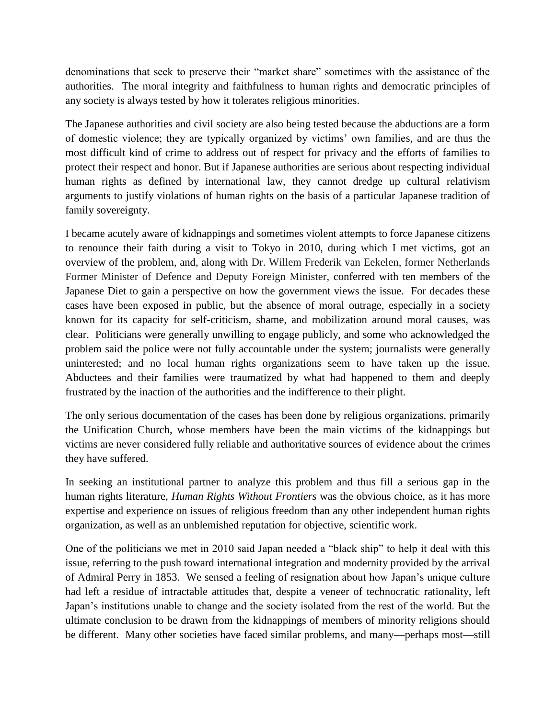denominations that seek to preserve their "market share" sometimes with the assistance of the authorities. The moral integrity and faithfulness to human rights and democratic principles of any society is always tested by how it tolerates religious minorities.

The Japanese authorities and civil society are also being tested because the abductions are a form of domestic violence; they are typically organized by victims' own families, and are thus the most difficult kind of crime to address out of respect for privacy and the efforts of families to protect their respect and honor. But if Japanese authorities are serious about respecting individual human rights as defined by international law, they cannot dredge up cultural relativism arguments to justify violations of human rights on the basis of a particular Japanese tradition of family sovereignty.

I became acutely aware of kidnappings and sometimes violent attempts to force Japanese citizens to renounce their faith during a visit to Tokyo in 2010, during which I met victims, got an overview of the problem, and, along with Dr. Willem Frederik van Eekelen, former Netherlands Former Minister of Defence and Deputy Foreign Minister, conferred with ten members of the Japanese Diet to gain a perspective on how the government views the issue. For decades these cases have been exposed in public, but the absence of moral outrage, especially in a society known for its capacity for self-criticism, shame, and mobilization around moral causes, was clear. Politicians were generally unwilling to engage publicly, and some who acknowledged the problem said the police were not fully accountable under the system; journalists were generally uninterested; and no local human rights organizations seem to have taken up the issue. Abductees and their families were traumatized by what had happened to them and deeply frustrated by the inaction of the authorities and the indifference to their plight.

The only serious documentation of the cases has been done by religious organizations, primarily the Unification Church, whose members have been the main victims of the kidnappings but victims are never considered fully reliable and authoritative sources of evidence about the crimes they have suffered.

In seeking an institutional partner to analyze this problem and thus fill a serious gap in the human rights literature, *Human Rights Without Frontiers* was the obvious choice, as it has more expertise and experience on issues of religious freedom than any other independent human rights organization, as well as an unblemished reputation for objective, scientific work.

One of the politicians we met in 2010 said Japan needed a "black ship" to help it deal with this issue, referring to the push toward international integration and modernity provided by the arrival of Admiral Perry in 1853. We sensed a feeling of resignation about how Japan's unique culture had left a residue of intractable attitudes that, despite a veneer of technocratic rationality, left Japan's institutions unable to change and the society isolated from the rest of the world. But the ultimate conclusion to be drawn from the kidnappings of members of minority religions should be different. Many other societies have faced similar problems, and many—perhaps most—still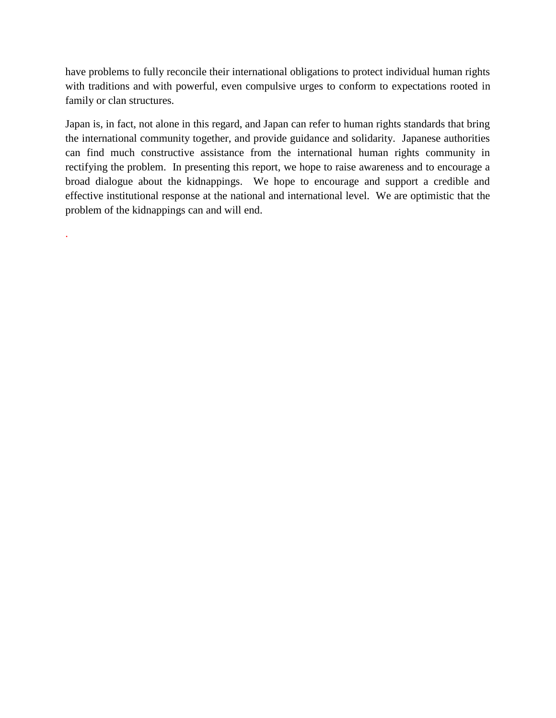have problems to fully reconcile their international obligations to protect individual human rights with traditions and with powerful, even compulsive urges to conform to expectations rooted in family or clan structures.

Japan is, in fact, not alone in this regard, and Japan can refer to human rights standards that bring the international community together, and provide guidance and solidarity. Japanese authorities can find much constructive assistance from the international human rights community in rectifying the problem. In presenting this report, we hope to raise awareness and to encourage a broad dialogue about the kidnappings. We hope to encourage and support a credible and effective institutional response at the national and international level. We are optimistic that the problem of the kidnappings can and will end.

.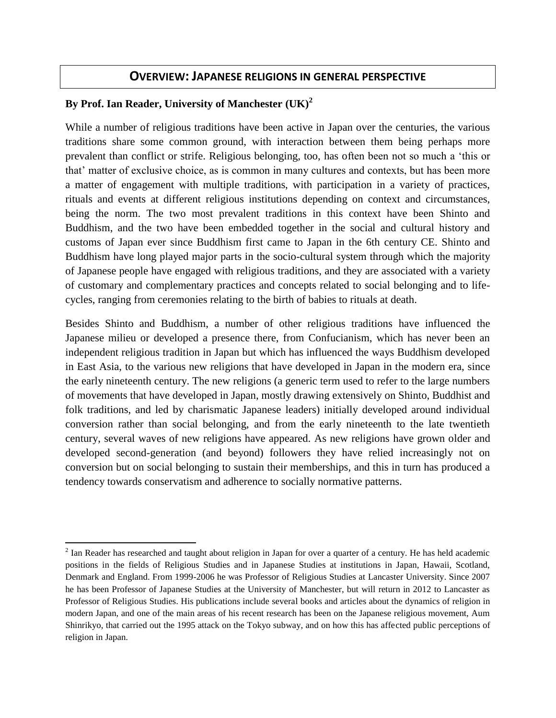## **OVERVIEW: JAPANESE RELIGIONS IN GENERAL PERSPECTIVE**

## **By Prof. Ian Reader, University of Manchester (UK)<sup>2</sup>**

 $\overline{\phantom{a}}$ 

While a number of religious traditions have been active in Japan over the centuries, the various traditions share some common ground, with interaction between them being perhaps more prevalent than conflict or strife. Religious belonging, too, has often been not so much a 'this or that' matter of exclusive choice, as is common in many cultures and contexts, but has been more a matter of engagement with multiple traditions, with participation in a variety of practices, rituals and events at different religious institutions depending on context and circumstances, being the norm. The two most prevalent traditions in this context have been Shinto and Buddhism, and the two have been embedded together in the social and cultural history and customs of Japan ever since Buddhism first came to Japan in the 6th century CE. Shinto and Buddhism have long played major parts in the socio-cultural system through which the majority of Japanese people have engaged with religious traditions, and they are associated with a variety of customary and complementary practices and concepts related to social belonging and to lifecycles, ranging from ceremonies relating to the birth of babies to rituals at death.

Besides Shinto and Buddhism, a number of other religious traditions have influenced the Japanese milieu or developed a presence there, from Confucianism, which has never been an independent religious tradition in Japan but which has influenced the ways Buddhism developed in East Asia, to the various new religions that have developed in Japan in the modern era, since the early nineteenth century. The new religions (a generic term used to refer to the large numbers of movements that have developed in Japan, mostly drawing extensively on Shinto, Buddhist and folk traditions, and led by charismatic Japanese leaders) initially developed around individual conversion rather than social belonging, and from the early nineteenth to the late twentieth century, several waves of new religions have appeared. As new religions have grown older and developed second-generation (and beyond) followers they have relied increasingly not on conversion but on social belonging to sustain their memberships, and this in turn has produced a tendency towards conservatism and adherence to socially normative patterns.

 $2^{2}$  Ian Reader has researched and taught about religion in Japan for over a quarter of a century. He has held academic positions in the fields of Religious Studies and in Japanese Studies at institutions in Japan, Hawaii, Scotland, Denmark and England. From 1999-2006 he was Professor of Religious Studies at Lancaster University. Since 2007 he has been Professor of Japanese Studies at the University of Manchester, but will return in 2012 to Lancaster as Professor of Religious Studies. His publications include several books and articles about the dynamics of religion in modern Japan, and one of the main areas of his recent research has been on the Japanese religious movement, Aum Shinrikyo, that carried out the 1995 attack on the Tokyo subway, and on how this has affected public perceptions of religion in Japan.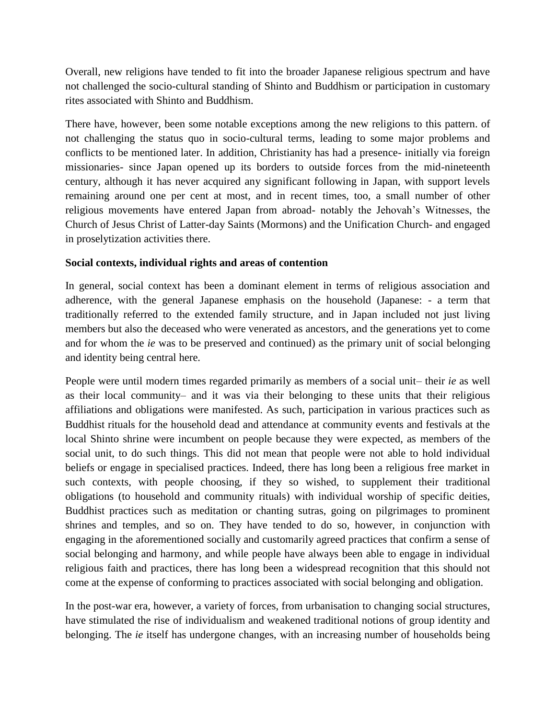Overall, new religions have tended to fit into the broader Japanese religious spectrum and have not challenged the socio-cultural standing of Shinto and Buddhism or participation in customary rites associated with Shinto and Buddhism.

There have, however, been some notable exceptions among the new religions to this pattern. of not challenging the status quo in socio-cultural terms, leading to some major problems and conflicts to be mentioned later. In addition, Christianity has had a presence- initially via foreign missionaries- since Japan opened up its borders to outside forces from the mid-nineteenth century, although it has never acquired any significant following in Japan, with support levels remaining around one per cent at most, and in recent times, too, a small number of other religious movements have entered Japan from abroad- notably the Jehovah's Witnesses, the Church of Jesus Christ of Latter-day Saints (Mormons) and the Unification Church- and engaged in proselytization activities there.

#### **Social contexts, individual rights and areas of contention**

In general, social context has been a dominant element in terms of religious association and adherence, with the general Japanese emphasis on the household (Japanese: - a term that traditionally referred to the extended family structure, and in Japan included not just living members but also the deceased who were venerated as ancestors, and the generations yet to come and for whom the *ie* was to be preserved and continued) as the primary unit of social belonging and identity being central here.

People were until modern times regarded primarily as members of a social unit– their *ie* as well as their local community– and it was via their belonging to these units that their religious affiliations and obligations were manifested. As such, participation in various practices such as Buddhist rituals for the household dead and attendance at community events and festivals at the local Shinto shrine were incumbent on people because they were expected, as members of the social unit, to do such things. This did not mean that people were not able to hold individual beliefs or engage in specialised practices. Indeed, there has long been a religious free market in such contexts, with people choosing, if they so wished, to supplement their traditional obligations (to household and community rituals) with individual worship of specific deities, Buddhist practices such as meditation or chanting sutras, going on pilgrimages to prominent shrines and temples, and so on. They have tended to do so, however, in conjunction with engaging in the aforementioned socially and customarily agreed practices that confirm a sense of social belonging and harmony, and while people have always been able to engage in individual religious faith and practices, there has long been a widespread recognition that this should not come at the expense of conforming to practices associated with social belonging and obligation.

In the post-war era, however, a variety of forces, from urbanisation to changing social structures, have stimulated the rise of individualism and weakened traditional notions of group identity and belonging. The *ie* itself has undergone changes, with an increasing number of households being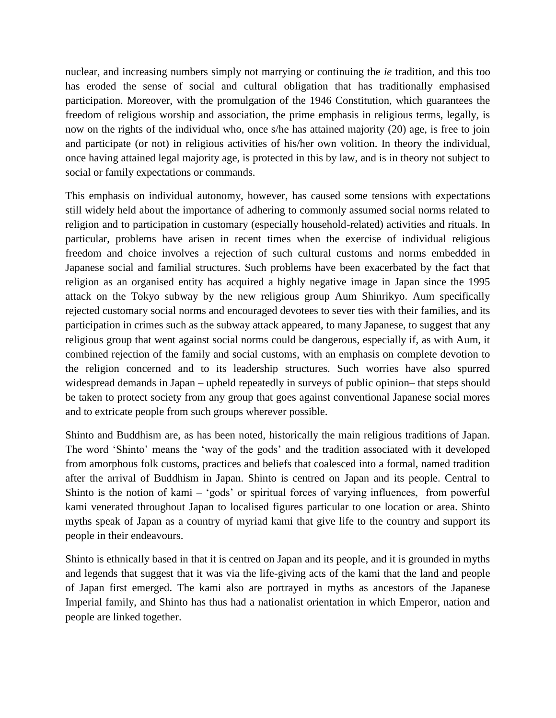nuclear, and increasing numbers simply not marrying or continuing the *ie* tradition, and this too has eroded the sense of social and cultural obligation that has traditionally emphasised participation. Moreover, with the promulgation of the 1946 Constitution, which guarantees the freedom of religious worship and association, the prime emphasis in religious terms, legally, is now on the rights of the individual who, once s/he has attained majority (20) age, is free to join and participate (or not) in religious activities of his/her own volition. In theory the individual, once having attained legal majority age, is protected in this by law, and is in theory not subject to social or family expectations or commands.

This emphasis on individual autonomy, however, has caused some tensions with expectations still widely held about the importance of adhering to commonly assumed social norms related to religion and to participation in customary (especially household-related) activities and rituals. In particular, problems have arisen in recent times when the exercise of individual religious freedom and choice involves a rejection of such cultural customs and norms embedded in Japanese social and familial structures. Such problems have been exacerbated by the fact that religion as an organised entity has acquired a highly negative image in Japan since the 1995 attack on the Tokyo subway by the new religious group Aum Shinrikyo. Aum specifically rejected customary social norms and encouraged devotees to sever ties with their families, and its participation in crimes such as the subway attack appeared, to many Japanese, to suggest that any religious group that went against social norms could be dangerous, especially if, as with Aum, it combined rejection of the family and social customs, with an emphasis on complete devotion to the religion concerned and to its leadership structures. Such worries have also spurred widespread demands in Japan – upheld repeatedly in surveys of public opinion– that steps should be taken to protect society from any group that goes against conventional Japanese social mores and to extricate people from such groups wherever possible.

Shinto and Buddhism are, as has been noted, historically the main religious traditions of Japan. The word 'Shinto' means the 'way of the gods' and the tradition associated with it developed from amorphous folk customs, practices and beliefs that coalesced into a formal, named tradition after the arrival of Buddhism in Japan. Shinto is centred on Japan and its people. Central to Shinto is the notion of kami – 'gods' or spiritual forces of varying influences, from powerful kami venerated throughout Japan to localised figures particular to one location or area. Shinto myths speak of Japan as a country of myriad kami that give life to the country and support its people in their endeavours.

Shinto is ethnically based in that it is centred on Japan and its people, and it is grounded in myths and legends that suggest that it was via the life-giving acts of the kami that the land and people of Japan first emerged. The kami also are portrayed in myths as ancestors of the Japanese Imperial family, and Shinto has thus had a nationalist orientation in which Emperor, nation and people are linked together.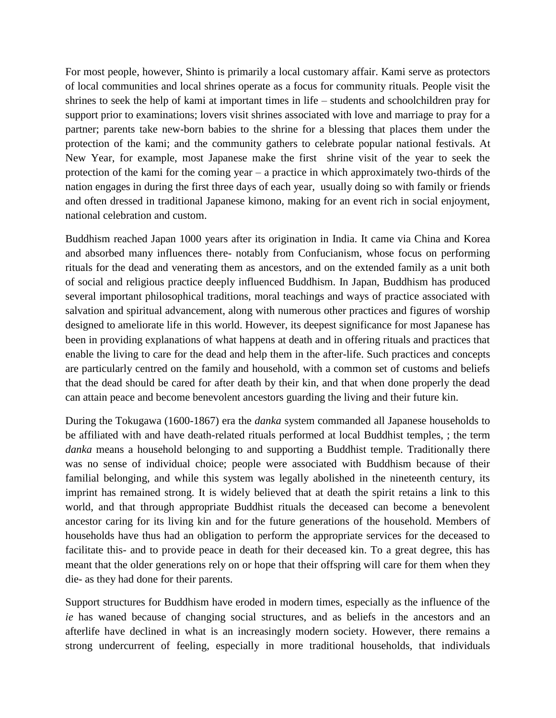For most people, however, Shinto is primarily a local customary affair. Kami serve as protectors of local communities and local shrines operate as a focus for community rituals. People visit the shrines to seek the help of kami at important times in life – students and schoolchildren pray for support prior to examinations; lovers visit shrines associated with love and marriage to pray for a partner; parents take new-born babies to the shrine for a blessing that places them under the protection of the kami; and the community gathers to celebrate popular national festivals. At New Year, for example, most Japanese make the first shrine visit of the year to seek the protection of the kami for the coming year – a practice in which approximately two-thirds of the nation engages in during the first three days of each year, usually doing so with family or friends and often dressed in traditional Japanese kimono, making for an event rich in social enjoyment, national celebration and custom.

Buddhism reached Japan 1000 years after its origination in India. It came via China and Korea and absorbed many influences there- notably from Confucianism, whose focus on performing rituals for the dead and venerating them as ancestors, and on the extended family as a unit both of social and religious practice deeply influenced Buddhism. In Japan, Buddhism has produced several important philosophical traditions, moral teachings and ways of practice associated with salvation and spiritual advancement, along with numerous other practices and figures of worship designed to ameliorate life in this world. However, its deepest significance for most Japanese has been in providing explanations of what happens at death and in offering rituals and practices that enable the living to care for the dead and help them in the after-life. Such practices and concepts are particularly centred on the family and household, with a common set of customs and beliefs that the dead should be cared for after death by their kin, and that when done properly the dead can attain peace and become benevolent ancestors guarding the living and their future kin.

During the Tokugawa (1600-1867) era the *danka* system commanded all Japanese households to be affiliated with and have death-related rituals performed at local Buddhist temples, ; the term *danka* means a household belonging to and supporting a Buddhist temple. Traditionally there was no sense of individual choice; people were associated with Buddhism because of their familial belonging, and while this system was legally abolished in the nineteenth century, its imprint has remained strong. It is widely believed that at death the spirit retains a link to this world, and that through appropriate Buddhist rituals the deceased can become a benevolent ancestor caring for its living kin and for the future generations of the household. Members of households have thus had an obligation to perform the appropriate services for the deceased to facilitate this- and to provide peace in death for their deceased kin. To a great degree, this has meant that the older generations rely on or hope that their offspring will care for them when they die- as they had done for their parents.

Support structures for Buddhism have eroded in modern times, especially as the influence of the *ie* has waned because of changing social structures, and as beliefs in the ancestors and an afterlife have declined in what is an increasingly modern society. However, there remains a strong undercurrent of feeling, especially in more traditional households, that individuals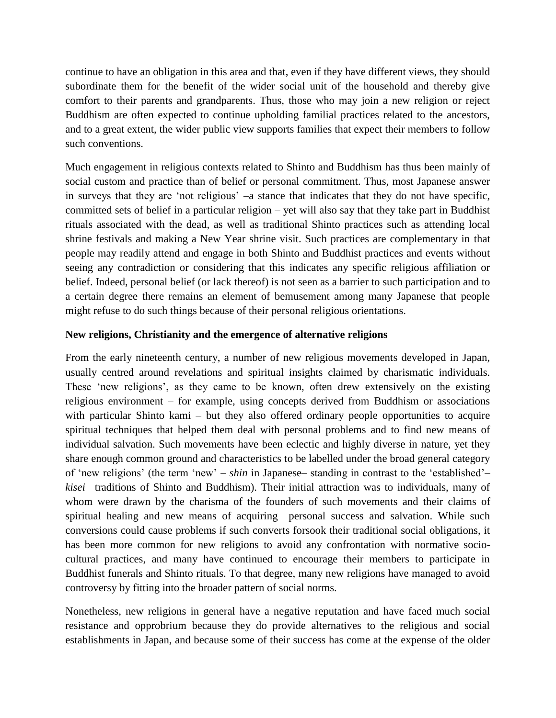continue to have an obligation in this area and that, even if they have different views, they should subordinate them for the benefit of the wider social unit of the household and thereby give comfort to their parents and grandparents. Thus, those who may join a new religion or reject Buddhism are often expected to continue upholding familial practices related to the ancestors, and to a great extent, the wider public view supports families that expect their members to follow such conventions.

Much engagement in religious contexts related to Shinto and Buddhism has thus been mainly of social custom and practice than of belief or personal commitment. Thus, most Japanese answer in surveys that they are 'not religious' –a stance that indicates that they do not have specific, committed sets of belief in a particular religion – yet will also say that they take part in Buddhist rituals associated with the dead, as well as traditional Shinto practices such as attending local shrine festivals and making a New Year shrine visit. Such practices are complementary in that people may readily attend and engage in both Shinto and Buddhist practices and events without seeing any contradiction or considering that this indicates any specific religious affiliation or belief. Indeed, personal belief (or lack thereof) is not seen as a barrier to such participation and to a certain degree there remains an element of bemusement among many Japanese that people might refuse to do such things because of their personal religious orientations.

#### **New religions, Christianity and the emergence of alternative religions**

From the early nineteenth century, a number of new religious movements developed in Japan, usually centred around revelations and spiritual insights claimed by charismatic individuals. These 'new religions', as they came to be known, often drew extensively on the existing religious environment – for example, using concepts derived from Buddhism or associations with particular Shinto kami – but they also offered ordinary people opportunities to acquire spiritual techniques that helped them deal with personal problems and to find new means of individual salvation. Such movements have been eclectic and highly diverse in nature, yet they share enough common ground and characteristics to be labelled under the broad general category of 'new religions' (the term 'new' – *shin* in Japanese– standing in contrast to the 'established'– *kisei*– traditions of Shinto and Buddhism). Their initial attraction was to individuals, many of whom were drawn by the charisma of the founders of such movements and their claims of spiritual healing and new means of acquiring personal success and salvation. While such conversions could cause problems if such converts forsook their traditional social obligations, it has been more common for new religions to avoid any confrontation with normative sociocultural practices, and many have continued to encourage their members to participate in Buddhist funerals and Shinto rituals. To that degree, many new religions have managed to avoid controversy by fitting into the broader pattern of social norms.

Nonetheless, new religions in general have a negative reputation and have faced much social resistance and opprobrium because they do provide alternatives to the religious and social establishments in Japan, and because some of their success has come at the expense of the older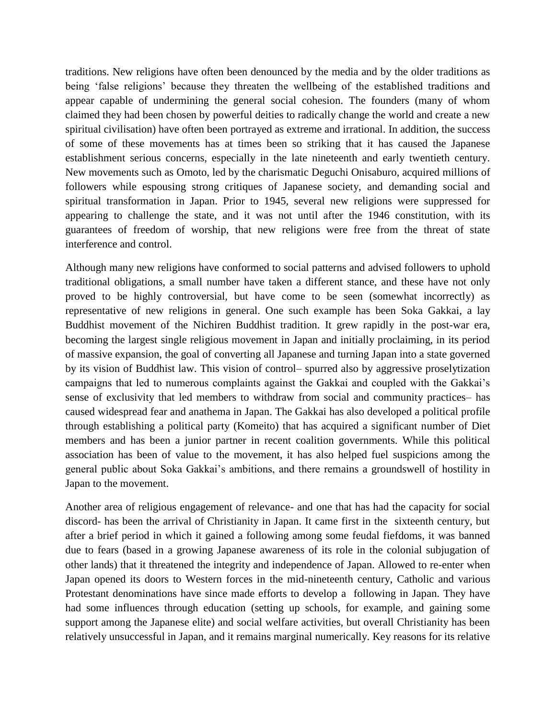traditions. New religions have often been denounced by the media and by the older traditions as being 'false religions' because they threaten the wellbeing of the established traditions and appear capable of undermining the general social cohesion. The founders (many of whom claimed they had been chosen by powerful deities to radically change the world and create a new spiritual civilisation) have often been portrayed as extreme and irrational. In addition, the success of some of these movements has at times been so striking that it has caused the Japanese establishment serious concerns, especially in the late nineteenth and early twentieth century. New movements such as Omoto, led by the charismatic Deguchi Onisaburo, acquired millions of followers while espousing strong critiques of Japanese society, and demanding social and spiritual transformation in Japan. Prior to 1945, several new religions were suppressed for appearing to challenge the state, and it was not until after the 1946 constitution, with its guarantees of freedom of worship, that new religions were free from the threat of state interference and control.

Although many new religions have conformed to social patterns and advised followers to uphold traditional obligations, a small number have taken a different stance, and these have not only proved to be highly controversial, but have come to be seen (somewhat incorrectly) as representative of new religions in general. One such example has been Soka Gakkai, a lay Buddhist movement of the Nichiren Buddhist tradition. It grew rapidly in the post-war era, becoming the largest single religious movement in Japan and initially proclaiming, in its period of massive expansion, the goal of converting all Japanese and turning Japan into a state governed by its vision of Buddhist law. This vision of control– spurred also by aggressive proselytization campaigns that led to numerous complaints against the Gakkai and coupled with the Gakkai's sense of exclusivity that led members to withdraw from social and community practices– has caused widespread fear and anathema in Japan. The Gakkai has also developed a political profile through establishing a political party (Komeito) that has acquired a significant number of Diet members and has been a junior partner in recent coalition governments. While this political association has been of value to the movement, it has also helped fuel suspicions among the general public about Soka Gakkai's ambitions, and there remains a groundswell of hostility in Japan to the movement.

Another area of religious engagement of relevance- and one that has had the capacity for social discord- has been the arrival of Christianity in Japan. It came first in the sixteenth century, but after a brief period in which it gained a following among some feudal fiefdoms, it was banned due to fears (based in a growing Japanese awareness of its role in the colonial subjugation of other lands) that it threatened the integrity and independence of Japan. Allowed to re-enter when Japan opened its doors to Western forces in the mid-nineteenth century, Catholic and various Protestant denominations have since made efforts to develop a following in Japan. They have had some influences through education (setting up schools, for example, and gaining some support among the Japanese elite) and social welfare activities, but overall Christianity has been relatively unsuccessful in Japan, and it remains marginal numerically. Key reasons for its relative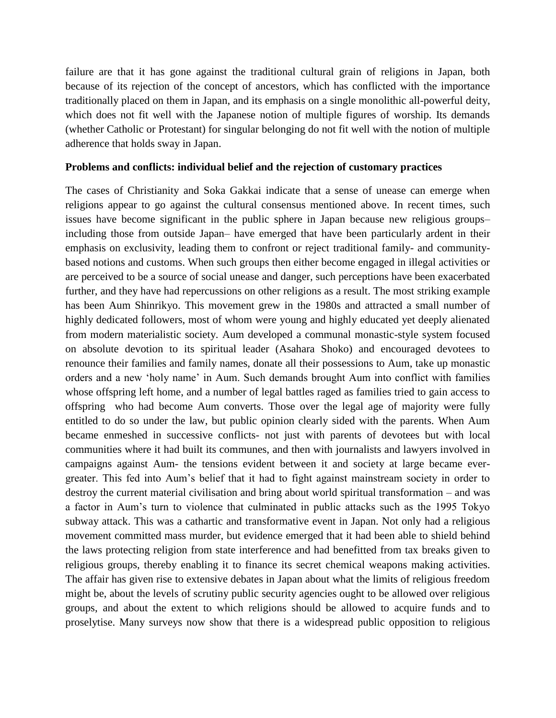failure are that it has gone against the traditional cultural grain of religions in Japan, both because of its rejection of the concept of ancestors, which has conflicted with the importance traditionally placed on them in Japan, and its emphasis on a single monolithic all-powerful deity, which does not fit well with the Japanese notion of multiple figures of worship. Its demands (whether Catholic or Protestant) for singular belonging do not fit well with the notion of multiple adherence that holds sway in Japan.

#### **Problems and conflicts: individual belief and the rejection of customary practices**

The cases of Christianity and Soka Gakkai indicate that a sense of unease can emerge when religions appear to go against the cultural consensus mentioned above. In recent times, such issues have become significant in the public sphere in Japan because new religious groups– including those from outside Japan– have emerged that have been particularly ardent in their emphasis on exclusivity, leading them to confront or reject traditional family- and communitybased notions and customs. When such groups then either become engaged in illegal activities or are perceived to be a source of social unease and danger, such perceptions have been exacerbated further, and they have had repercussions on other religions as a result. The most striking example has been Aum Shinrikyo. This movement grew in the 1980s and attracted a small number of highly dedicated followers, most of whom were young and highly educated yet deeply alienated from modern materialistic society. Aum developed a communal monastic-style system focused on absolute devotion to its spiritual leader (Asahara Shoko) and encouraged devotees to renounce their families and family names, donate all their possessions to Aum, take up monastic orders and a new 'holy name' in Aum. Such demands brought Aum into conflict with families whose offspring left home, and a number of legal battles raged as families tried to gain access to offspring who had become Aum converts. Those over the legal age of majority were fully entitled to do so under the law, but public opinion clearly sided with the parents. When Aum became enmeshed in successive conflicts- not just with parents of devotees but with local communities where it had built its communes, and then with journalists and lawyers involved in campaigns against Aum- the tensions evident between it and society at large became evergreater. This fed into Aum's belief that it had to fight against mainstream society in order to destroy the current material civilisation and bring about world spiritual transformation – and was a factor in Aum's turn to violence that culminated in public attacks such as the 1995 Tokyo subway attack. This was a cathartic and transformative event in Japan. Not only had a religious movement committed mass murder, but evidence emerged that it had been able to shield behind the laws protecting religion from state interference and had benefitted from tax breaks given to religious groups, thereby enabling it to finance its secret chemical weapons making activities. The affair has given rise to extensive debates in Japan about what the limits of religious freedom might be, about the levels of scrutiny public security agencies ought to be allowed over religious groups, and about the extent to which religions should be allowed to acquire funds and to proselytise. Many surveys now show that there is a widespread public opposition to religious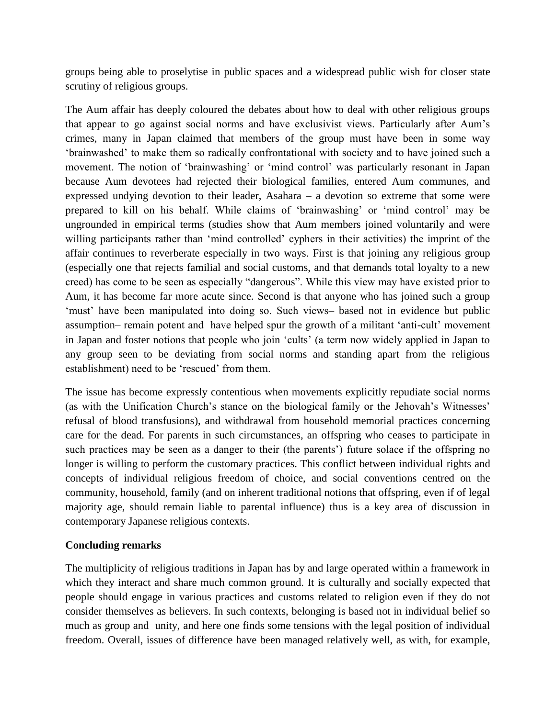groups being able to proselytise in public spaces and a widespread public wish for closer state scrutiny of religious groups.

The Aum affair has deeply coloured the debates about how to deal with other religious groups that appear to go against social norms and have exclusivist views. Particularly after Aum's crimes, many in Japan claimed that members of the group must have been in some way 'brainwashed' to make them so radically confrontational with society and to have joined such a movement. The notion of 'brainwashing' or 'mind control' was particularly resonant in Japan because Aum devotees had rejected their biological families, entered Aum communes, and expressed undying devotion to their leader, Asahara – a devotion so extreme that some were prepared to kill on his behalf. While claims of 'brainwashing' or 'mind control' may be ungrounded in empirical terms (studies show that Aum members joined voluntarily and were willing participants rather than 'mind controlled' cyphers in their activities) the imprint of the affair continues to reverberate especially in two ways. First is that joining any religious group (especially one that rejects familial and social customs, and that demands total loyalty to a new creed) has come to be seen as especially "dangerous". While this view may have existed prior to Aum, it has become far more acute since. Second is that anyone who has joined such a group 'must' have been manipulated into doing so. Such views– based not in evidence but public assumption– remain potent and have helped spur the growth of a militant 'anti-cult' movement in Japan and foster notions that people who join 'cults' (a term now widely applied in Japan to any group seen to be deviating from social norms and standing apart from the religious establishment) need to be 'rescued' from them.

The issue has become expressly contentious when movements explicitly repudiate social norms (as with the Unification Church's stance on the biological family or the Jehovah's Witnesses' refusal of blood transfusions), and withdrawal from household memorial practices concerning care for the dead. For parents in such circumstances, an offspring who ceases to participate in such practices may be seen as a danger to their (the parents') future solace if the offspring no longer is willing to perform the customary practices. This conflict between individual rights and concepts of individual religious freedom of choice, and social conventions centred on the community, household, family (and on inherent traditional notions that offspring, even if of legal majority age, should remain liable to parental influence) thus is a key area of discussion in contemporary Japanese religious contexts.

#### **Concluding remarks**

The multiplicity of religious traditions in Japan has by and large operated within a framework in which they interact and share much common ground. It is culturally and socially expected that people should engage in various practices and customs related to religion even if they do not consider themselves as believers. In such contexts, belonging is based not in individual belief so much as group and unity, and here one finds some tensions with the legal position of individual freedom. Overall, issues of difference have been managed relatively well, as with, for example,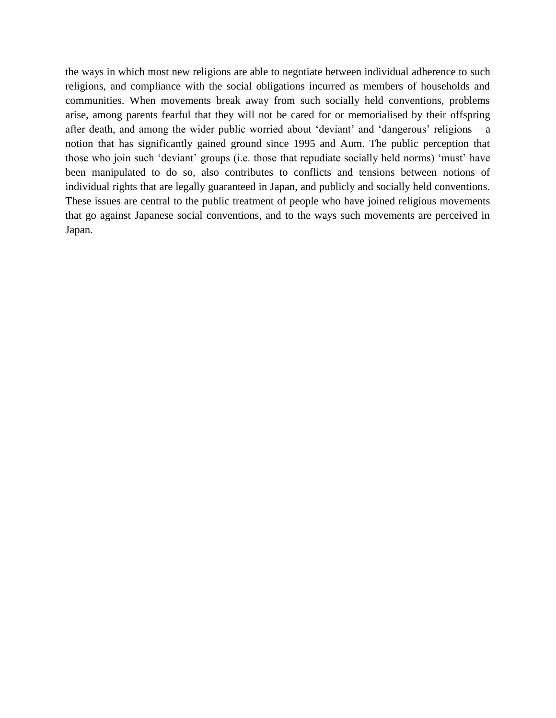the ways in which most new religions are able to negotiate between individual adherence to such religions, and compliance with the social obligations incurred as members of households and communities. When movements break away from such socially held conventions, problems arise, among parents fearful that they will not be cared for or memorialised by their offspring after death, and among the wider public worried about 'deviant' and 'dangerous' religions – a notion that has significantly gained ground since 1995 and Aum. The public perception that those who join such 'deviant' groups (i.e. those that repudiate socially held norms) 'must' have been manipulated to do so, also contributes to conflicts and tensions between notions of individual rights that are legally guaranteed in Japan, and publicly and socially held conventions. These issues are central to the public treatment of people who have joined religious movements that go against Japanese social conventions, and to the ways such movements are perceived in Japan.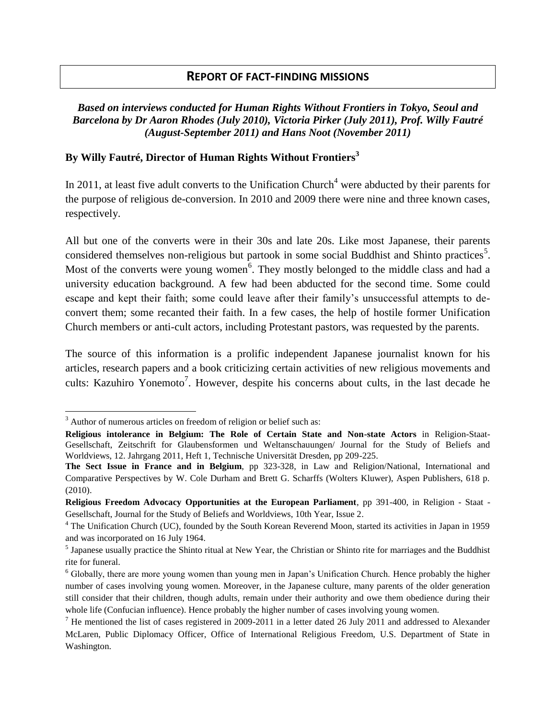## **REPORT OF FACT-FINDING MISSIONS**

#### *Based on interviews conducted for Human Rights Without Frontiers in Tokyo, Seoul and Barcelona by Dr Aaron Rhodes (July 2010), Victoria Pirker (July 2011), Prof. Willy Fautré (August-September 2011) and Hans Noot (November 2011)*

#### **By Willy Fautré, Director of Human Rights Without Frontiers<sup>3</sup>**

In 2011, at least five adult converts to the Unification Church<sup>4</sup> were abducted by their parents for the purpose of religious de-conversion. In 2010 and 2009 there were nine and three known cases, respectively.

All but one of the converts were in their 30s and late 20s. Like most Japanese, their parents considered themselves non-religious but partook in some social Buddhist and Shinto practices<sup>5</sup>. Most of the converts were young women<sup>6</sup>. They mostly belonged to the middle class and had a university education background. A few had been abducted for the second time. Some could escape and kept their faith; some could leave after their family's unsuccessful attempts to deconvert them; some recanted their faith. In a few cases, the help of hostile former Unification Church members or anti-cult actors, including Protestant pastors, was requested by the parents.

The source of this information is a prolific independent Japanese journalist known for his articles, research papers and a book criticizing certain activities of new religious movements and cults: Kazuhiro Yonemoto<sup>7</sup>. However, despite his concerns about cults, in the last decade he

 $\overline{\phantom{a}}$ 

<sup>&</sup>lt;sup>3</sup> Author of numerous articles on freedom of religion or belief such as:

**Religious intolerance in Belgium: The Role of Certain State and Non-state Actors** in Religion-Staat-Gesellschaft, Zeitschrift for Glaubensformen und Weltanschauungen/ Journal for the Study of Beliefs and Worldviews, 12. Jahrgang 2011, Heft 1, Technische Universität Dresden, pp 209-225.

**The Sect Issue in France and in Belgium**, pp 323-328, in Law and Religion/National, International and Comparative Perspectives by W. Cole Durham and Brett G. Scharffs (Wolters Kluwer), Aspen Publishers, 618 p. (2010).

**Religious Freedom Advocacy Opportunities at the European Parliament**, pp 391-400, in Religion - Staat - Gesellschaft, Journal for the Study of Beliefs and Worldviews, 10th Year, Issue 2.

<sup>&</sup>lt;sup>4</sup> The Unification Church (UC), founded by the South Korean Reverend Moon, started its activities in Japan in 1959 and was incorporated on 16 July 1964.

<sup>&</sup>lt;sup>5</sup> Japanese usually practice the Shinto ritual at New Year, the Christian or Shinto rite for marriages and the Buddhist rite for funeral.

<sup>&</sup>lt;sup>6</sup> Globally, there are more young women than young men in Japan's Unification Church. Hence probably the higher number of cases involving young women. Moreover, in the Japanese culture, many parents of the older generation still consider that their children, though adults, remain under their authority and owe them obedience during their whole life (Confucian influence). Hence probably the higher number of cases involving young women.

 $<sup>7</sup>$  He mentioned the list of cases registered in 2009-2011 in a letter dated 26 July 2011 and addressed to Alexander</sup> McLaren, Public Diplomacy Officer, Office of International Religious Freedom, U.S. Department of State in Washington.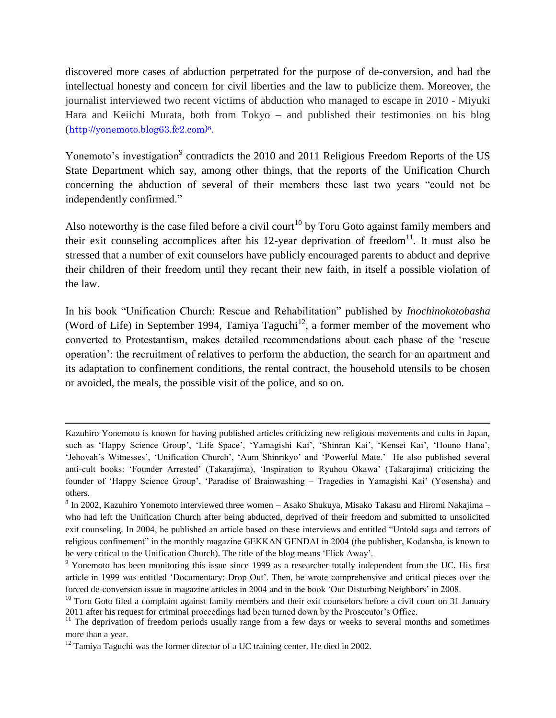discovered more cases of abduction perpetrated for the purpose of de-conversion, and had the intellectual honesty and concern for civil liberties and the law to publicize them. Moreover, the journalist interviewed two recent victims of abduction who managed to escape in 2010 - Miyuki Hara and Keiichi Murata, both from Tokyo – and published their testimonies on his blog (http://yonemoto.blog63.fc2.com)8.

Yonemoto's investigation<sup>9</sup> contradicts the 2010 and 2011 Religious Freedom Reports of the US State Department which say, among other things, that the reports of the Unification Church concerning the abduction of several of their members these last two years "could not be independently confirmed."

Also noteworthy is the case filed before a civil court<sup>10</sup> by Toru Goto against family members and their exit counseling accomplices after his 12-year deprivation of freedom $11$ . It must also be stressed that a number of exit counselors have publicly encouraged parents to abduct and deprive their children of their freedom until they recant their new faith, in itself a possible violation of the law.

In his book "Unification Church: Rescue and Rehabilitation" published by *Inochinokotobasha* (Word of Life) in September 1994, Tamiya Taguchi<sup>12</sup>, a former member of the movement who converted to Protestantism, makes detailed recommendations about each phase of the 'rescue operation': the recruitment of relatives to perform the abduction, the search for an apartment and its adaptation to confinement conditions, the rental contract, the household utensils to be chosen or avoided, the meals, the possible visit of the police, and so on.

l

Kazuhiro Yonemoto is known for having published articles criticizing new religious movements and cults in Japan, such as 'Happy Science Group', 'Life Space', 'Yamagishi Kai', 'Shinran Kai', 'Kensei Kai', 'Houno Hana', 'Jehovah's Witnesses', 'Unification Church', 'Aum Shinrikyo' and 'Powerful Mate.' He also published several anti-cult books: 'Founder Arrested' (Takarajima), 'Inspiration to Ryuhou Okawa' (Takarajima) criticizing the founder of 'Happy Science Group', 'Paradise of Brainwashing – Tragedies in Yamagishi Kai' (Yosensha) and others.

 $8$  In 2002, Kazuhiro Yonemoto interviewed three women – Asako Shukuya, Misako Takasu and Hiromi Nakajima – who had left the Unification Church after being abducted, deprived of their freedom and submitted to unsolicited exit counseling. In 2004, he published an article based on these interviews and entitled "Untold saga and terrors of religious confinement" in the monthly magazine GEKKAN GENDAI in 2004 (the publisher, Kodansha, is known to be very critical to the Unification Church). The title of the blog means 'Flick Away'.

<sup>9</sup> Yonemoto has been monitoring this issue since 1999 as a researcher totally independent from the UC. His first article in 1999 was entitled 'Documentary: Drop Out'. Then, he wrote comprehensive and critical pieces over the forced de-conversion issue in magazine articles in 2004 and in the book 'Our Disturbing Neighbors' in 2008.

 $10$  Toru Goto filed a complaint against family members and their exit counselors before a civil court on 31 January 2011 after his request for criminal proceedings had been turned down by the Prosecutor's Office.

<sup>&</sup>lt;sup>11</sup> The deprivation of freedom periods usually range from a few days or weeks to several months and sometimes more than a year.

 $12$  Tamiya Taguchi was the former director of a UC training center. He died in 2002.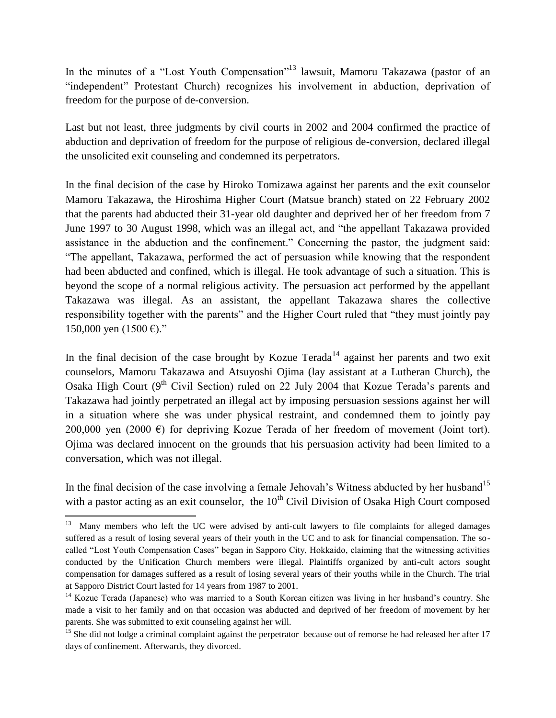In the minutes of a "Lost Youth Compensation"<sup>13</sup> lawsuit, Mamoru Takazawa (pastor of an "independent" Protestant Church) recognizes his involvement in abduction, deprivation of freedom for the purpose of de-conversion.

Last but not least, three judgments by civil courts in 2002 and 2004 confirmed the practice of abduction and deprivation of freedom for the purpose of religious de-conversion, declared illegal the unsolicited exit counseling and condemned its perpetrators.

In the final decision of the case by Hiroko Tomizawa against her parents and the exit counselor Mamoru Takazawa, the Hiroshima Higher Court (Matsue branch) stated on 22 February 2002 that the parents had abducted their 31-year old daughter and deprived her of her freedom from 7 June 1997 to 30 August 1998, which was an illegal act, and "the appellant Takazawa provided assistance in the abduction and the confinement." Concerning the pastor, the judgment said: "The appellant, Takazawa, performed the act of persuasion while knowing that the respondent had been abducted and confined, which is illegal. He took advantage of such a situation. This is beyond the scope of a normal religious activity. The persuasion act performed by the appellant Takazawa was illegal. As an assistant, the appellant Takazawa shares the collective responsibility together with the parents" and the Higher Court ruled that "they must jointly pay 150,000 yen (1500 €)."

In the final decision of the case brought by Kozue Terada<sup>14</sup> against her parents and two exit counselors, Mamoru Takazawa and Atsuyoshi Ojima (lay assistant at a Lutheran Church), the Osaka High Court ( $9<sup>th</sup>$  Civil Section) ruled on 22 July 2004 that Kozue Terada's parents and Takazawa had jointly perpetrated an illegal act by imposing persuasion sessions against her will in a situation where she was under physical restraint, and condemned them to jointly pay 200,000 yen (2000  $\epsilon$ ) for depriving Kozue Terada of her freedom of movement (Joint tort). Ojima was declared innocent on the grounds that his persuasion activity had been limited to a conversation, which was not illegal.

In the final decision of the case involving a female Jehovah's Witness abducted by her husband<sup>15</sup> with a pastor acting as an exit counselor, the  $10<sup>th</sup>$  Civil Division of Osaka High Court composed

<sup>&</sup>lt;sup>13</sup> Many members who left the UC were advised by anti-cult lawyers to file complaints for alleged damages suffered as a result of losing several years of their youth in the UC and to ask for financial compensation. The socalled "Lost Youth Compensation Cases" began in Sapporo City, Hokkaido, claiming that the witnessing activities conducted by the Unification Church members were illegal. Plaintiffs organized by anti-cult actors sought compensation for damages suffered as a result of losing several years of their youths while in the Church. The trial at Sapporo District Court lasted for 14 years from 1987 to 2001.

<sup>&</sup>lt;sup>14</sup> Kozue Terada (Japanese) who was married to a South Korean citizen was living in her husband's country. She made a visit to her family and on that occasion was abducted and deprived of her freedom of movement by her parents. She was submitted to exit counseling against her will.

 $15$  She did not lodge a criminal complaint against the perpetrator because out of remorse he had released her after 17 days of confinement. Afterwards, they divorced.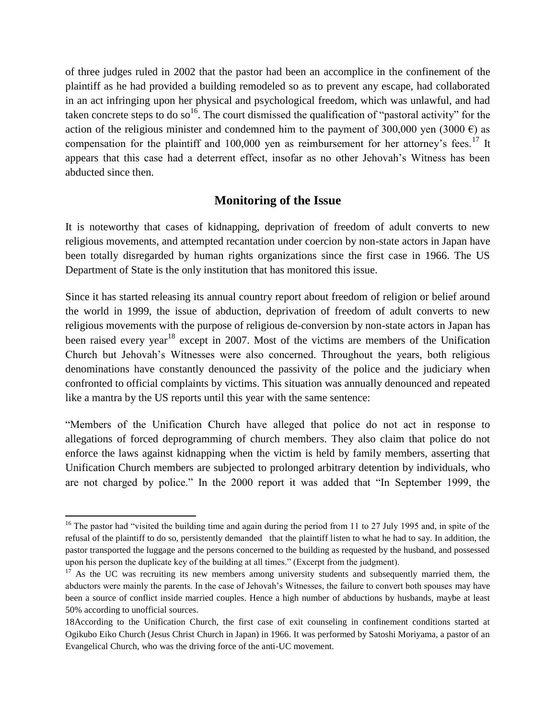of three judges ruled in 2002 that the pastor had been an accomplice in the confinement of the plaintiff as he had provided a building remodeled so as to prevent any escape, had collaborated in an act infringing upon her physical and psychological freedom, which was unlawful, and had taken concrete steps to do so<sup>16</sup>. The court dismissed the qualification of "pastoral activity" for the action of the religious minister and condemned him to the payment of 300,000 yen (3000  $\epsilon$ ) as compensation for the plaintiff and 100,000 yen as reimbursement for her attorney's fees.<sup>17</sup> It appears that this case had a deterrent effect, insofar as no other Jehovah's Witness has been abducted since then.

## **Monitoring of the Issue**

It is noteworthy that cases of kidnapping, deprivation of freedom of adult converts to new religious movements, and attempted recantation under coercion by non-state actors in Japan have been totally disregarded by human rights organizations since the first case in 1966. The US Department of State is the only institution that has monitored this issue.

Since it has started releasing its annual country report about freedom of religion or belief around the world in 1999, the issue of abduction, deprivation of freedom of adult converts to new religious movements with the purpose of religious de-conversion by non-state actors in Japan has been raised every year<sup>18</sup> except in 2007. Most of the victims are members of the Unification Church but Jehovah's Witnesses were also concerned. Throughout the years, both religious denominations have constantly denounced the passivity of the police and the judiciary when confronted to official complaints by victims. This situation was annually denounced and repeated like a mantra by the US reports until this year with the same sentence:

"Members of the Unification Church have alleged that police do not act in response to allegations of forced deprogramming of church members. They also claim that police do not enforce the laws against kidnapping when the victim is held by family members, asserting that Unification Church members are subjected to prolonged arbitrary detention by individuals, who are not charged by police." In the 2000 report it was added that "In September 1999, the

l

<sup>&</sup>lt;sup>16</sup> The pastor had "visited the building time and again during the period from 11 to 27 July 1995 and, in spite of the refusal of the plaintiff to do so, persistently demanded that the plaintiff listen to what he had to say. In addition, the pastor transported the luggage and the persons concerned to the building as requested by the husband, and possessed upon his person the duplicate key of the building at all times." (Excerpt from the judgment).

 $17$  As the UC was recruiting its new members among university students and subsequently married them, the abductors were mainly the parents. In the case of Jehovah's Witnesses, the failure to convert both spouses may have been a source of conflict inside married couples. Hence a high number of abductions by husbands, maybe at least 50% according to unofficial sources.

<sup>18</sup>According to the Unification Church, the first case of exit counseling in confinement conditions started at Ogikubo Eiko Church (Jesus Christ Church in Japan) in 1966. It was performed by Satoshi Moriyama, a pastor of an Evangelical Church, who was the driving force of the anti-UC movement.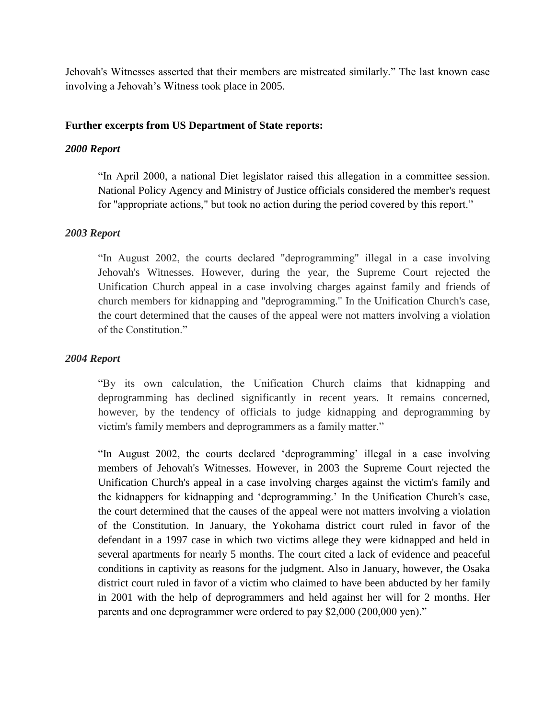Jehovah's Witnesses asserted that their members are mistreated similarly." The last known case involving a Jehovah's Witness took place in 2005.

#### **Further excerpts from US Department of State reports:**

#### *2000 Report*

"In April 2000, a national Diet legislator raised this allegation in a committee session. National Policy Agency and Ministry of Justice officials considered the member's request for "appropriate actions," but took no action during the period covered by this report."

#### *2003 Report*

"In August 2002, the courts declared "deprogramming" illegal in a case involving Jehovah's Witnesses. However, during the year, the Supreme Court rejected the Unification Church appeal in a case involving charges against family and friends of church members for kidnapping and "deprogramming." In the Unification Church's case, the court determined that the causes of the appeal were not matters involving a violation of the Constitution."

#### *2004 Report*

"By its own calculation, the Unification Church claims that kidnapping and deprogramming has declined significantly in recent years. It remains concerned, however, by the tendency of officials to judge kidnapping and deprogramming by victim's family members and deprogrammers as a family matter."

"In August 2002, the courts declared 'deprogramming' illegal in a case involving members of Jehovah's Witnesses. However, in 2003 the Supreme Court rejected the Unification Church's appeal in a case involving charges against the victim's family and the kidnappers for kidnapping and 'deprogramming.' In the Unification Church's case, the court determined that the causes of the appeal were not matters involving a violation of the Constitution. In January, the Yokohama district court ruled in favor of the defendant in a 1997 case in which two victims allege they were kidnapped and held in several apartments for nearly 5 months. The court cited a lack of evidence and peaceful conditions in captivity as reasons for the judgment. Also in January, however, the Osaka district court ruled in favor of a victim who claimed to have been abducted by her family in 2001 with the help of deprogrammers and held against her will for 2 months. Her parents and one deprogrammer were ordered to pay \$2,000 (200,000 yen)."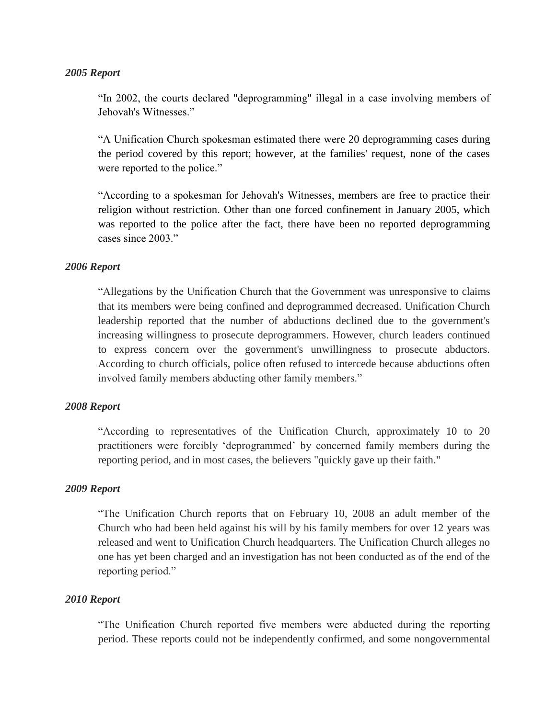#### *2005 Report*

"In 2002, the courts declared "deprogramming" illegal in a case involving members of Jehovah's Witnesses."

"A Unification Church spokesman estimated there were 20 deprogramming cases during the period covered by this report; however, at the families' request, none of the cases were reported to the police."

"According to a spokesman for Jehovah's Witnesses, members are free to practice their religion without restriction. Other than one forced confinement in January 2005, which was reported to the police after the fact, there have been no reported deprogramming cases since 2003."

#### *2006 Report*

"Allegations by the Unification Church that the Government was unresponsive to claims that its members were being confined and deprogrammed decreased. Unification Church leadership reported that the number of abductions declined due to the government's increasing willingness to prosecute deprogrammers. However, church leaders continued to express concern over the government's unwillingness to prosecute abductors. According to church officials, police often refused to intercede because abductions often involved family members abducting other family members."

#### *2008 Report*

"According to representatives of the Unification Church, approximately 10 to 20 practitioners were forcibly 'deprogrammed' by concerned family members during the reporting period, and in most cases, the believers "quickly gave up their faith."

#### *2009 Report*

"The Unification Church reports that on February 10, 2008 an adult member of the Church who had been held against his will by his family members for over 12 years was released and went to Unification Church headquarters. The Unification Church alleges no one has yet been charged and an investigation has not been conducted as of the end of the reporting period."

#### *2010 Report*

"The Unification Church reported five members were abducted during the reporting period. These reports could not be independently confirmed, and some nongovernmental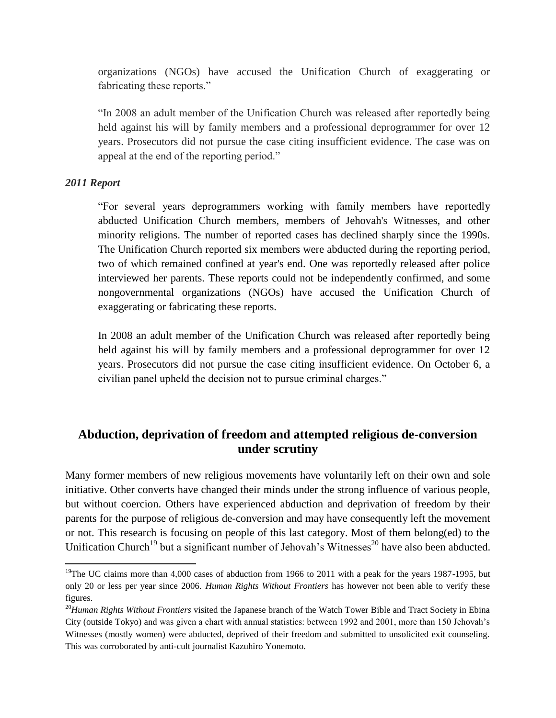organizations (NGOs) have accused the Unification Church of exaggerating or fabricating these reports."

"In 2008 an adult member of the Unification Church was released after reportedly being held against his will by family members and a professional deprogrammer for over 12 years. Prosecutors did not pursue the case citing insufficient evidence. The case was on appeal at the end of the reporting period."

#### *2011 Report*

 $\overline{\phantom{a}}$ 

"For several years deprogrammers working with family members have reportedly abducted Unification Church members, members of Jehovah's Witnesses, and other minority religions. The number of reported cases has declined sharply since the 1990s. The Unification Church reported six members were abducted during the reporting period, two of which remained confined at year's end. One was reportedly released after police interviewed her parents. These reports could not be independently confirmed, and some nongovernmental organizations (NGOs) have accused the Unification Church of exaggerating or fabricating these reports.

In 2008 an adult member of the Unification Church was released after reportedly being held against his will by family members and a professional deprogrammer for over 12 years. Prosecutors did not pursue the case citing insufficient evidence. On October 6, a civilian panel upheld the decision not to pursue criminal charges."

## **Abduction, deprivation of freedom and attempted religious de-conversion under scrutiny**

Many former members of new religious movements have voluntarily left on their own and sole initiative. Other converts have changed their minds under the strong influence of various people, but without coercion. Others have experienced abduction and deprivation of freedom by their parents for the purpose of religious de-conversion and may have consequently left the movement or not. This research is focusing on people of this last category. Most of them belong(ed) to the Unification Church<sup>19</sup> but a significant number of Jehovah's Witnesses<sup>20</sup> have also been abducted.

<sup>&</sup>lt;sup>19</sup>The UC claims more than 4,000 cases of abduction from 1966 to 2011 with a peak for the years 1987-1995, but only 20 or less per year since 2006. *Human Rights Without Frontiers* has however not been able to verify these figures.

<sup>&</sup>lt;sup>20</sup>Human Rights Without Frontiers visited the Japanese branch of the Watch Tower Bible and Tract Society in Ebina City (outside Tokyo) and was given a chart with annual statistics: between 1992 and 2001, more than 150 Jehovah's Witnesses (mostly women) were abducted, deprived of their freedom and submitted to unsolicited exit counseling. This was corroborated by anti-cult journalist Kazuhiro Yonemoto.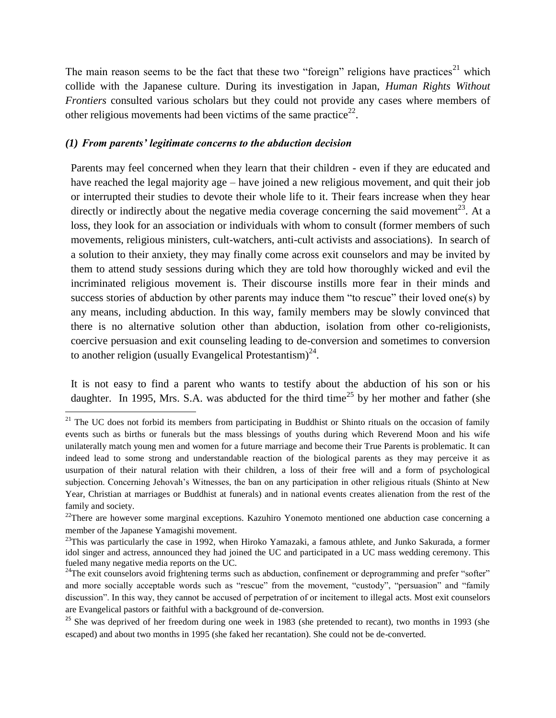The main reason seems to be the fact that these two "foreign" religions have practices<sup>21</sup> which collide with the Japanese culture. During its investigation in Japan, *Human Rights Without Frontiers* consulted various scholars but they could not provide any cases where members of other religious movements had been victims of the same practice<sup>22</sup>.

#### *(1) From parents' legitimate concerns to the abduction decision*

 $\overline{\phantom{a}}$ 

Parents may feel concerned when they learn that their children - even if they are educated and have reached the legal majority age – have joined a new religious movement, and quit their job or interrupted their studies to devote their whole life to it. Their fears increase when they hear directly or indirectly about the negative media coverage concerning the said movement<sup>23</sup>. At a loss, they look for an association or individuals with whom to consult (former members of such movements, religious ministers, cult-watchers, anti-cult activists and associations). In search of a solution to their anxiety, they may finally come across exit counselors and may be invited by them to attend study sessions during which they are told how thoroughly wicked and evil the incriminated religious movement is. Their discourse instills more fear in their minds and success stories of abduction by other parents may induce them "to rescue" their loved one(s) by any means, including abduction. In this way, family members may be slowly convinced that there is no alternative solution other than abduction, isolation from other co-religionists, coercive persuasion and exit counseling leading to de-conversion and sometimes to conversion to another religion (usually Evangelical Protestantism)<sup>24</sup>.

It is not easy to find a parent who wants to testify about the abduction of his son or his daughter. In 1995, Mrs. S.A. was abducted for the third time<sup>25</sup> by her mother and father (she

 $21$  The UC does not forbid its members from participating in Buddhist or Shinto rituals on the occasion of family events such as births or funerals but the mass blessings of youths during which Reverend Moon and his wife unilaterally match young men and women for a future marriage and become their True Parents is problematic. It can indeed lead to some strong and understandable reaction of the biological parents as they may perceive it as usurpation of their natural relation with their children, a loss of their free will and a form of psychological subjection. Concerning Jehovah's Witnesses, the ban on any participation in other religious rituals (Shinto at New Year, Christian at marriages or Buddhist at funerals) and in national events creates alienation from the rest of the family and society.

 $22$ There are however some marginal exceptions. Kazuhiro Yonemoto mentioned one abduction case concerning a member of the Japanese Yamagishi movement.

 $23$ This was particularly the case in 1992, when Hiroko Yamazaki, a famous athlete, and Junko Sakurada, a former idol singer and actress, announced they had joined the UC and participated in a UC mass wedding ceremony. This fueled many negative media reports on the UC.

<sup>&</sup>lt;sup>24</sup>The exit counselors avoid frightening terms such as abduction, confinement or deprogramming and prefer "softer" and more socially acceptable words such as "rescue" from the movement, "custody", "persuasion" and "family discussion". In this way, they cannot be accused of perpetration of or incitement to illegal acts. Most exit counselors are Evangelical pastors or faithful with a background of de-conversion.

<sup>&</sup>lt;sup>25</sup> She was deprived of her freedom during one week in 1983 (she pretended to recant), two months in 1993 (she escaped) and about two months in 1995 (she faked her recantation). She could not be de-converted.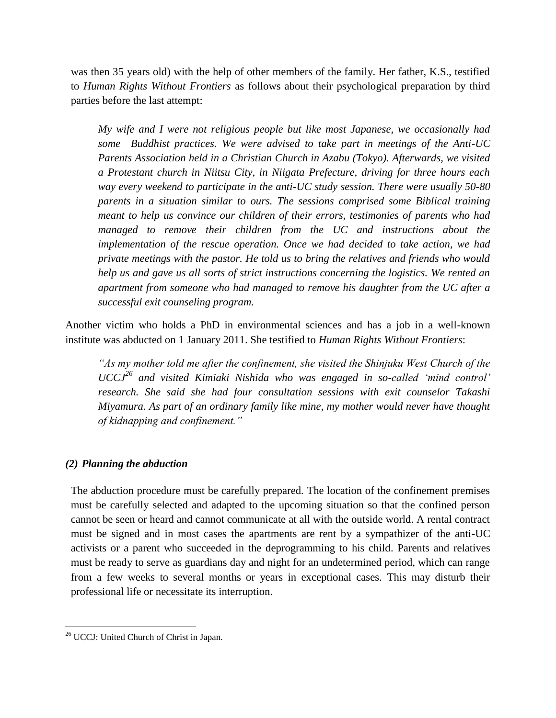was then 35 years old) with the help of other members of the family. Her father, K.S., testified to *Human Rights Without Frontiers* as follows about their psychological preparation by third parties before the last attempt:

*My wife and I were not religious people but like most Japanese, we occasionally had some Buddhist practices. We were advised to take part in meetings of the Anti-UC Parents Association held in a Christian Church in Azabu (Tokyo). Afterwards, we visited a Protestant church in Niitsu City, in Niigata Prefecture, driving for three hours each way every weekend to participate in the anti-UC study session. There were usually 50-80 parents in a situation similar to ours. The sessions comprised some Biblical training meant to help us convince our children of their errors, testimonies of parents who had managed to remove their children from the UC and instructions about the implementation of the rescue operation. Once we had decided to take action, we had private meetings with the pastor. He told us to bring the relatives and friends who would help us and gave us all sorts of strict instructions concerning the logistics. We rented an apartment from someone who had managed to remove his daughter from the UC after a successful exit counseling program.*

Another victim who holds a PhD in environmental sciences and has a job in a well-known institute was abducted on 1 January 2011. She testified to *Human Rights Without Frontiers*:

*"As my mother told me after the confinement, she visited the Shinjuku West Church of the UCCJ<sup>26</sup> and visited Kimiaki Nishida who was engaged in so-called 'mind control' research. She said she had four consultation sessions with exit counselor Takashi Miyamura. As part of an ordinary family like mine, my mother would never have thought of kidnapping and confinement."*

#### *(2) Planning the abduction*

The abduction procedure must be carefully prepared. The location of the confinement premises must be carefully selected and adapted to the upcoming situation so that the confined person cannot be seen or heard and cannot communicate at all with the outside world. A rental contract must be signed and in most cases the apartments are rent by a sympathizer of the anti-UC activists or a parent who succeeded in the deprogramming to his child. Parents and relatives must be ready to serve as guardians day and night for an undetermined period, which can range from a few weeks to several months or years in exceptional cases. This may disturb their professional life or necessitate its interruption.

 $\overline{\phantom{a}}$ 

<sup>&</sup>lt;sup>26</sup> UCCJ: United Church of Christ in Japan.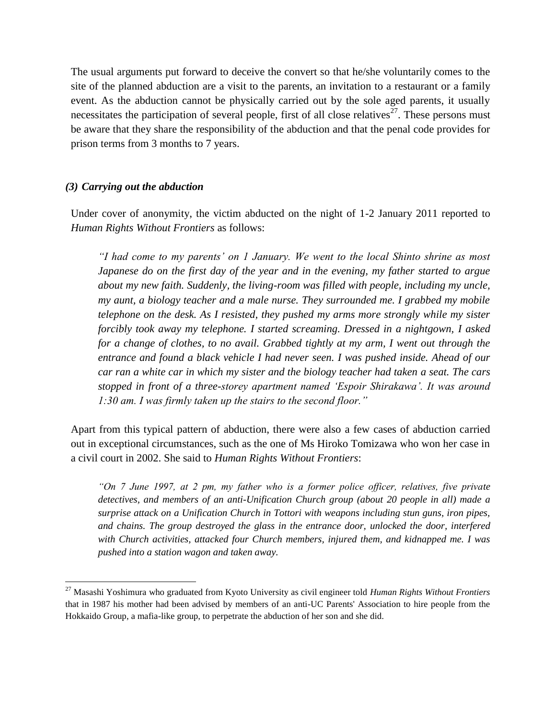The usual arguments put forward to deceive the convert so that he/she voluntarily comes to the site of the planned abduction are a visit to the parents, an invitation to a restaurant or a family event. As the abduction cannot be physically carried out by the sole aged parents, it usually necessitates the participation of several people, first of all close relatives<sup>27</sup>. These persons must be aware that they share the responsibility of the abduction and that the penal code provides for prison terms from 3 months to 7 years.

#### *(3) Carrying out the abduction*

 $\overline{a}$ 

Under cover of anonymity, the victim abducted on the night of 1-2 January 2011 reported to *Human Rights Without Frontiers* as follows:

*"I had come to my parents' on 1 January. We went to the local Shinto shrine as most Japanese do on the first day of the year and in the evening, my father started to argue about my new faith. Suddenly, the living-room was filled with people, including my uncle, my aunt, a biology teacher and a male nurse. They surrounded me. I grabbed my mobile telephone on the desk. As I resisted, they pushed my arms more strongly while my sister forcibly took away my telephone. I started screaming. Dressed in a nightgown, I asked for a change of clothes, to no avail. Grabbed tightly at my arm, I went out through the entrance and found a black vehicle I had never seen. I was pushed inside. Ahead of our car ran a white car in which my sister and the biology teacher had taken a seat. The cars stopped in front of a three-storey apartment named 'Espoir Shirakawa'. It was around 1:30 am. I was firmly taken up the stairs to the second floor."*

Apart from this typical pattern of abduction, there were also a few cases of abduction carried out in exceptional circumstances, such as the one of Ms Hiroko Tomizawa who won her case in a civil court in 2002. She said to *Human Rights Without Frontiers*:

*"On 7 June 1997, at 2 pm, my father who is a former police officer, relatives, five private detectives, and members of an anti-Unification Church group (about 20 people in all) made a surprise attack on a Unification Church in Tottori with weapons including stun guns, iron pipes, and chains. The group destroyed the glass in the entrance door, unlocked the door, interfered with Church activities, attacked four Church members, injured them, and kidnapped me. I was pushed into a station wagon and taken away.*

<sup>27</sup> Masashi Yoshimura who graduated from Kyoto University as civil engineer told *Human Rights Without Frontiers* that in 1987 his mother had been advised by members of an anti-UC Parents' Association to hire people from the Hokkaido Group, a mafia-like group, to perpetrate the abduction of her son and she did.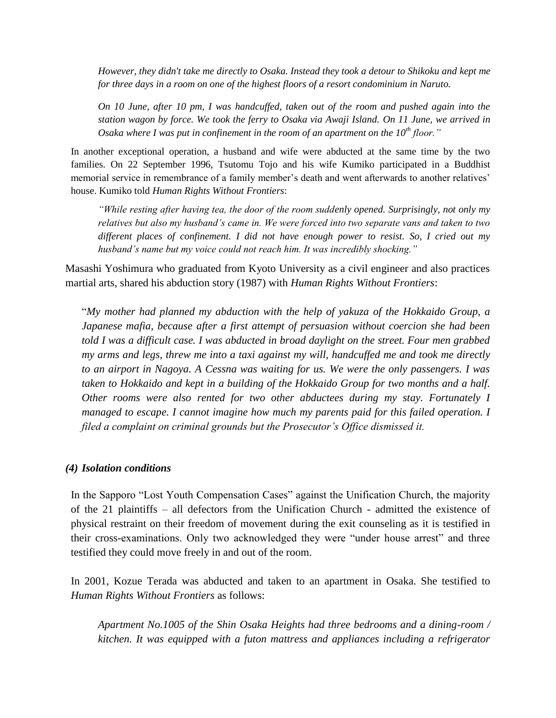*However, they didn't take me directly to Osaka. Instead they took a detour to Shikoku and kept me for three days in a room on one of the highest floors of a resort condominium in Naruto.*

*On 10 June, after 10 pm, I was handcuffed, taken out of the room and pushed again into the station wagon by force. We took the ferry to Osaka via Awaji Island. On 11 June, we arrived in Osaka where I was put in confinement in the room of an apartment on the 10th floor."*

In another exceptional operation, a husband and wife were abducted at the same time by the two families. On 22 September 1996, Tsutomu Tojo and his wife Kumiko participated in a Buddhist memorial service in remembrance of a family member's death and went afterwards to another relatives' house. Kumiko told *Human Rights Without Frontiers*:

*"While resting after having tea, the door of the room suddenly opened. Surprisingly, not only my relatives but also my husband's came in. We were forced into two separate vans and taken to two different places of confinement. I did not have enough power to resist. So, I cried out my husband's name but my voice could not reach him. It was incredibly shocking."*

Masashi Yoshimura who graduated from Kyoto University as a civil engineer and also practices martial arts, shared his abduction story (1987) with *Human Rights Without Frontiers*:

"*My mother had planned my abduction with the help of yakuza of the Hokkaido Group, a Japanese mafia, because after a first attempt of persuasion without coercion she had been told I was a difficult case. I was abducted in broad daylight on the street. Four men grabbed my arms and legs, threw me into a taxi against my will, handcuffed me and took me directly to an airport in Nagoya. A Cessna was waiting for us. We were the only passengers. I was taken to Hokkaido and kept in a building of the Hokkaido Group for two months and a half. Other rooms were also rented for two other abductees during my stay. Fortunately I managed to escape. I cannot imagine how much my parents paid for this failed operation. I filed a complaint on criminal grounds but the Prosecutor's Office dismissed it.*

#### *(4) Isolation conditions*

In the Sapporo "Lost Youth Compensation Cases" against the Unification Church, the majority of the 21 plaintiffs – all defectors from the Unification Church - admitted the existence of physical restraint on their freedom of movement during the exit counseling as it is testified in their cross-examinations. Only two acknowledged they were "under house arrest" and three testified they could move freely in and out of the room.

In 2001, Kozue Terada was abducted and taken to an apartment in Osaka. She testified to *Human Rights Without Frontiers* as follows:

*Apartment No.1005 of the Shin Osaka Heights had three bedrooms and a dining-room / kitchen. It was equipped with a futon mattress and appliances including a refrigerator*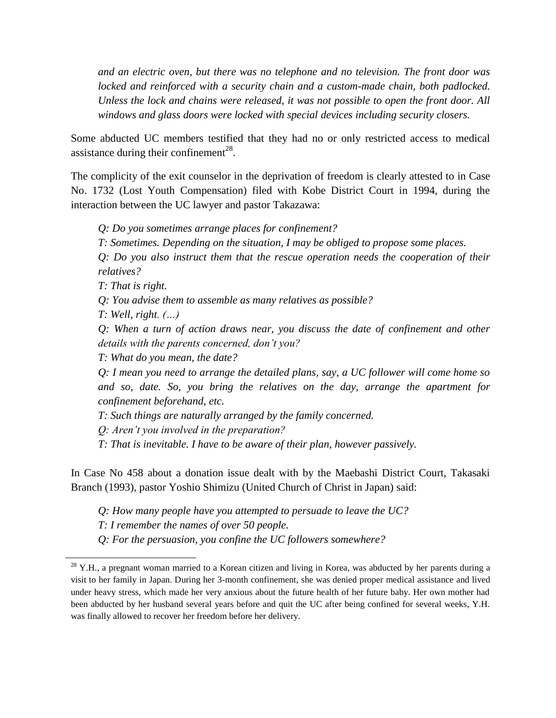*and an electric oven, but there was no telephone and no television. The front door was*  locked and reinforced with a security chain and a custom-made chain, both padlocked. *Unless the lock and chains were released, it was not possible to open the front door. All windows and glass doors were locked with special devices including security closers.*

Some abducted UC members testified that they had no or only restricted access to medical assistance during their confinement<sup>28</sup>.

The complicity of the exit counselor in the deprivation of freedom is clearly attested to in Case No. 1732 (Lost Youth Compensation) filed with Kobe District Court in 1994, during the interaction between the UC lawyer and pastor Takazawa:

*Q: Do you sometimes arrange places for confinement?*

*T: Sometimes. Depending on the situation, I may be obliged to propose some places.*

*Q: Do you also instruct them that the rescue operation needs the cooperation of their relatives?*

*T: That is right.*

*Q: You advise them to assemble as many relatives as possible?*

*T: Well, right. (…)*

l

*Q: When a turn of action draws near, you discuss the date of confinement and other details with the parents concerned, don't you?*

*T: What do you mean, the date?*

*Q: I mean you need to arrange the detailed plans, say, a UC follower will come home so and so, date. So, you bring the relatives on the day, arrange the apartment for confinement beforehand, etc.*

*T: Such things are naturally arranged by the family concerned.*

*Q: Aren't you involved in the preparation?*

*T: That is inevitable. I have to be aware of their plan, however passively.*

In Case No 458 about a donation issue dealt with by the Maebashi District Court, Takasaki Branch (1993), pastor Yoshio Shimizu (United Church of Christ in Japan) said:

*Q: How many people have you attempted to persuade to leave the UC?*

*T: I remember the names of over 50 people.*

*Q: For the persuasion, you confine the UC followers somewhere?*

 $28$  Y.H., a pregnant woman married to a Korean citizen and living in Korea, was abducted by her parents during a visit to her family in Japan. During her 3-month confinement, she was denied proper medical assistance and lived under heavy stress, which made her very anxious about the future health of her future baby. Her own mother had been abducted by her husband several years before and quit the UC after being confined for several weeks, Y.H. was finally allowed to recover her freedom before her delivery.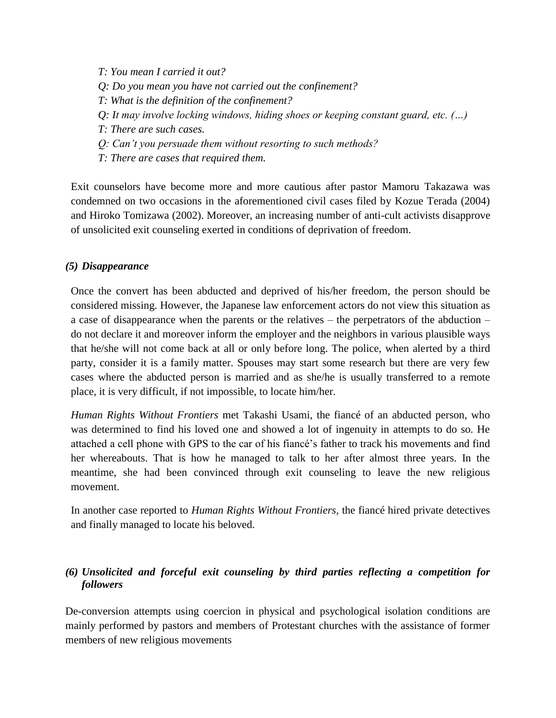*T: You mean I carried it out? Q: Do you mean you have not carried out the confinement? T: What is the definition of the confinement? Q: It may involve locking windows, hiding shoes or keeping constant guard, etc. (…) T: There are such cases. Q: Can't you persuade them without resorting to such methods?*

*T: There are cases that required them.*

Exit counselors have become more and more cautious after pastor Mamoru Takazawa was condemned on two occasions in the aforementioned civil cases filed by Kozue Terada (2004) and Hiroko Tomizawa (2002). Moreover, an increasing number of anti-cult activists disapprove of unsolicited exit counseling exerted in conditions of deprivation of freedom.

#### *(5) Disappearance*

Once the convert has been abducted and deprived of his/her freedom, the person should be considered missing. However, the Japanese law enforcement actors do not view this situation as a case of disappearance when the parents or the relatives – the perpetrators of the abduction – do not declare it and moreover inform the employer and the neighbors in various plausible ways that he/she will not come back at all or only before long. The police, when alerted by a third party, consider it is a family matter. Spouses may start some research but there are very few cases where the abducted person is married and as she/he is usually transferred to a remote place, it is very difficult, if not impossible, to locate him/her.

*Human Rights Without Frontiers* met Takashi Usami, the fiancé of an abducted person, who was determined to find his loved one and showed a lot of ingenuity in attempts to do so. He attached a cell phone with GPS to the car of his fiancé's father to track his movements and find her whereabouts. That is how he managed to talk to her after almost three years. In the meantime, she had been convinced through exit counseling to leave the new religious movement.

In another case reported to *Human Rights Without Frontiers*, the fiancé hired private detectives and finally managed to locate his beloved.

## *(6) Unsolicited and forceful exit counseling by third parties reflecting a competition for followers*

De-conversion attempts using coercion in physical and psychological isolation conditions are mainly performed by pastors and members of Protestant churches with the assistance of former members of new religious movements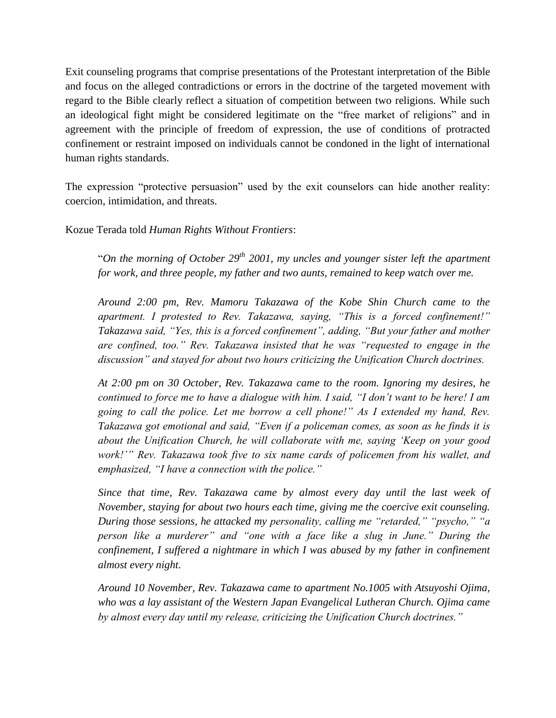Exit counseling programs that comprise presentations of the Protestant interpretation of the Bible and focus on the alleged contradictions or errors in the doctrine of the targeted movement with regard to the Bible clearly reflect a situation of competition between two religions. While such an ideological fight might be considered legitimate on the "free market of religions" and in agreement with the principle of freedom of expression, the use of conditions of protracted confinement or restraint imposed on individuals cannot be condoned in the light of international human rights standards.

The expression "protective persuasion" used by the exit counselors can hide another reality: coercion, intimidation, and threats.

Kozue Terada told *Human Rights Without Frontiers*:

"*On the morning of October 29th 2001, my uncles and younger sister left the apartment for work, and three people, my father and two aunts, remained to keep watch over me.*

*Around 2:00 pm, Rev. Mamoru Takazawa of the Kobe Shin Church came to the apartment. I protested to Rev. Takazawa, saying, "This is a forced confinement!" Takazawa said, "Yes, this is a forced confinement", adding, "But your father and mother are confined, too." Rev. Takazawa insisted that he was "requested to engage in the discussion" and stayed for about two hours criticizing the Unification Church doctrines.* 

*At 2:00 pm on 30 October, Rev. Takazawa came to the room. Ignoring my desires, he continued to force me to have a dialogue with him. I said, "I don't want to be here! I am going to call the police. Let me borrow a cell phone!" As I extended my hand, Rev. Takazawa got emotional and said, "Even if a policeman comes, as soon as he finds it is about the Unification Church, he will collaborate with me, saying 'Keep on your good work!'" Rev. Takazawa took five to six name cards of policemen from his wallet, and emphasized, "I have a connection with the police."*

*Since that time, Rev. Takazawa came by almost every day until the last week of November, staying for about two hours each time, giving me the coercive exit counseling. During those sessions, he attacked my personality, calling me "retarded," "psycho," "a person like a murderer" and "one with a face like a slug in June." During the confinement, I suffered a nightmare in which I was abused by my father in confinement almost every night.*

*Around 10 November, Rev. Takazawa came to apartment No.1005 with Atsuyoshi Ojima, who was a lay assistant of the Western Japan Evangelical Lutheran Church. Ojima came by almost every day until my release, criticizing the Unification Church doctrines."*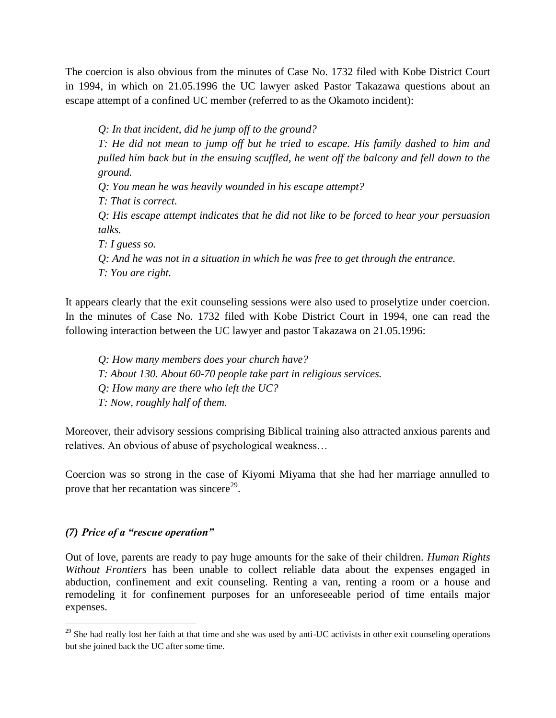The coercion is also obvious from the minutes of Case No. 1732 filed with Kobe District Court in 1994, in which on 21.05.1996 the UC lawyer asked Pastor Takazawa questions about an escape attempt of a confined UC member (referred to as the Okamoto incident):

*Q: In that incident, did he jump off to the ground? T: He did not mean to jump off but he tried to escape. His family dashed to him and pulled him back but in the ensuing scuffled, he went off the balcony and fell down to the ground. Q: You mean he was heavily wounded in his escape attempt? T: That is correct. Q: His escape attempt indicates that he did not like to be forced to hear your persuasion talks. T: I guess so. Q: And he was not in a situation in which he was free to get through the entrance. T: You are right.*

It appears clearly that the exit counseling sessions were also used to proselytize under coercion. In the minutes of Case No. 1732 filed with Kobe District Court in 1994, one can read the following interaction between the UC lawyer and pastor Takazawa on 21.05.1996:

- *Q: How many members does your church have?*
- *T: About 130. About 60-70 people take part in religious services.*
- *Q: How many are there who left the UC?*
- *T: Now, roughly half of them.*

Moreover, their advisory sessions comprising Biblical training also attracted anxious parents and relatives. An obvious of abuse of psychological weakness…

Coercion was so strong in the case of Kiyomi Miyama that she had her marriage annulled to prove that her recantation was sincere<sup>29</sup>.

#### *(7) Price of a "rescue operation"*

 $\overline{\phantom{a}}$ 

Out of love, parents are ready to pay huge amounts for the sake of their children. *Human Rights Without Frontiers* has been unable to collect reliable data about the expenses engaged in abduction, confinement and exit counseling. Renting a van, renting a room or a house and remodeling it for confinement purposes for an unforeseeable period of time entails major expenses.

 $29$  She had really lost her faith at that time and she was used by anti-UC activists in other exit counseling operations but she joined back the UC after some time.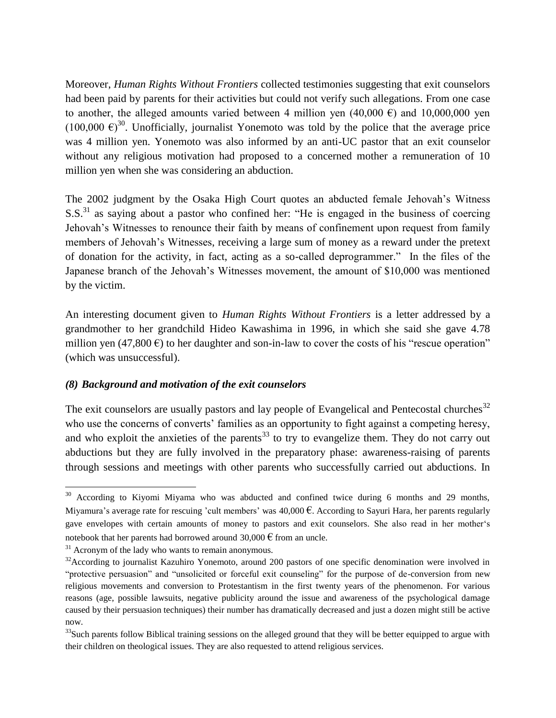Moreover, *Human Rights Without Frontiers* collected testimonies suggesting that exit counselors had been paid by parents for their activities but could not verify such allegations. From one case to another, the alleged amounts varied between 4 million yen  $(40,000 \text{ } \epsilon)$  and  $10,000,000$  yen  $(100,000 \epsilon)^{30}$ . Unofficially, journalist Yonemoto was told by the police that the average price was 4 million yen. Yonemoto was also informed by an anti-UC pastor that an exit counselor without any religious motivation had proposed to a concerned mother a remuneration of 10 million yen when she was considering an abduction.

The 2002 judgment by the Osaka High Court quotes an abducted female Jehovah's Witness  $S.S.<sup>31</sup>$  as saying about a pastor who confined her: "He is engaged in the business of coercing Jehovah's Witnesses to renounce their faith by means of confinement upon request from family members of Jehovah's Witnesses, receiving a large sum of money as a reward under the pretext of donation for the activity, in fact, acting as a so-called deprogrammer." In the files of the Japanese branch of the Jehovah's Witnesses movement, the amount of \$10,000 was mentioned by the victim.

An interesting document given to *Human Rights Without Frontiers* is a letter addressed by a grandmother to her grandchild Hideo Kawashima in 1996, in which she said she gave 4.78 million yen (47,800  $\epsilon$ ) to her daughter and son-in-law to cover the costs of his "rescue operation" (which was unsuccessful).

#### *(8) Background and motivation of the exit counselors*

The exit counselors are usually pastors and lay people of Evangelical and Pentecostal churches<sup>32</sup> who use the concerns of converts' families as an opportunity to fight against a competing heresy, and who exploit the anxieties of the parents<sup>33</sup> to try to evangelize them. They do not carry out abductions but they are fully involved in the preparatory phase: awareness-raising of parents through sessions and meetings with other parents who successfully carried out abductions. In

 $\overline{\phantom{a}}$ <sup>30</sup> According to Kiyomi Miyama who was abducted and confined twice during 6 months and 29 months, Miyamura's average rate for rescuing 'cult members' was  $40,000 \text{ }\epsilon$ . According to Sayuri Hara, her parents regularly gave envelopes with certain amounts of money to pastors and exit counselors. She also read in her mother's notebook that her parents had borrowed around 30,000  $\epsilon$  from an uncle.

 $31$  Acronym of the lady who wants to remain anonymous.

 $32$ According to journalist Kazuhiro Yonemoto, around 200 pastors of one specific denomination were involved in "protective persuasion" and "unsolicited or forceful exit counseling" for the purpose of de-conversion from new religious movements and conversion to Protestantism in the first twenty years of the phenomenon. For various reasons (age, possible lawsuits, negative publicity around the issue and awareness of the psychological damage caused by their persuasion techniques) their number has dramatically decreased and just a dozen might still be active now.

 $33$ Such parents follow Biblical training sessions on the alleged ground that they will be better equipped to argue with their children on theological issues. They are also requested to attend religious services.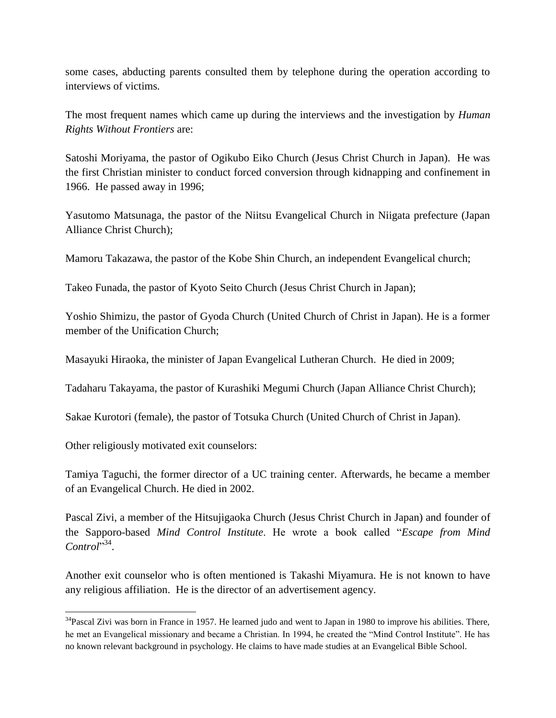some cases, abducting parents consulted them by telephone during the operation according to interviews of victims*.*

The most frequent names which came up during the interviews and the investigation by *Human Rights Without Frontiers* are:

Satoshi Moriyama, the pastor of Ogikubo Eiko Church (Jesus Christ Church in Japan). He was the first Christian minister to conduct forced conversion through kidnapping and confinement in 1966. He passed away in 1996;

Yasutomo Matsunaga, the pastor of the Niitsu Evangelical Church in Niigata prefecture (Japan Alliance Christ Church);

Mamoru Takazawa, the pastor of the Kobe Shin Church, an independent Evangelical church;

Takeo Funada, the pastor of Kyoto Seito Church (Jesus Christ Church in Japan);

Yoshio Shimizu, the pastor of Gyoda Church (United Church of Christ in Japan). He is a former member of the Unification Church;

Masayuki Hiraoka, the minister of Japan Evangelical Lutheran Church. He died in 2009;

Tadaharu Takayama, the pastor of Kurashiki Megumi Church (Japan Alliance Christ Church);

Sakae Kurotori (female), the pastor of Totsuka Church (United Church of Christ in Japan).

Other religiously motivated exit counselors:

 $\overline{\phantom{a}}$ 

Tamiya Taguchi, the former director of a UC training center. Afterwards, he became a member of an Evangelical Church. He died in 2002.

Pascal Zivi, a member of the Hitsujigaoka Church (Jesus Christ Church in Japan) and founder of the Sapporo-based *Mind Control Institute*. He wrote a book called "*Escape from Mind*  Control<sup>"34</sup>.

Another exit counselor who is often mentioned is Takashi Miyamura. He is not known to have any religious affiliation. He is the director of an advertisement agency.

 $34$ Pascal Zivi was born in France in 1957. He learned judo and went to Japan in 1980 to improve his abilities. There, he met an Evangelical missionary and became a Christian. In 1994, he created the "Mind Control Institute". He has no known relevant background in psychology. He claims to have made studies at an Evangelical Bible School.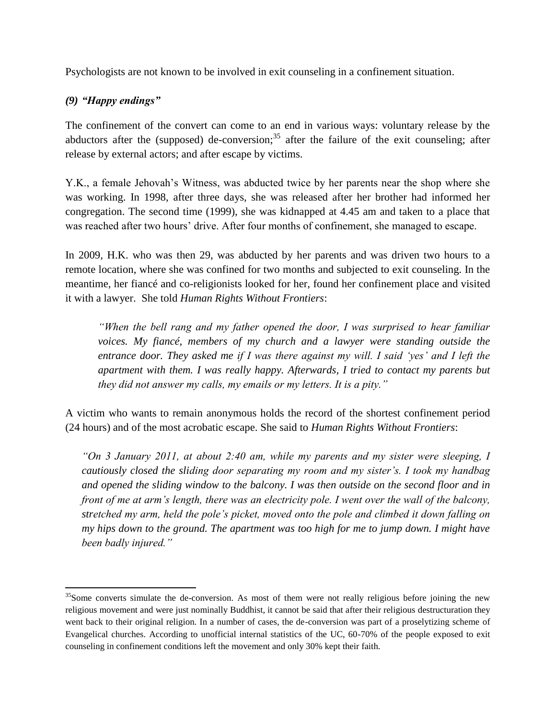Psychologists are not known to be involved in exit counseling in a confinement situation.

## *(9) "Happy endings"*

 $\overline{\phantom{a}}$ 

The confinement of the convert can come to an end in various ways: voluntary release by the abductors after the (supposed) de-conversion;  $35$  after the failure of the exit counseling; after release by external actors; and after escape by victims.

Y.K., a female Jehovah's Witness, was abducted twice by her parents near the shop where she was working. In 1998, after three days, she was released after her brother had informed her congregation. The second time (1999), she was kidnapped at 4.45 am and taken to a place that was reached after two hours' drive. After four months of confinement, she managed to escape.

In 2009, H.K. who was then 29, was abducted by her parents and was driven two hours to a remote location, where she was confined for two months and subjected to exit counseling. In the meantime, her fiancé and co-religionists looked for her, found her confinement place and visited it with a lawyer. She told *Human Rights Without Frontiers*:

*"When the bell rang and my father opened the door, I was surprised to hear familiar voices. My fiancé, members of my church and a lawyer were standing outside the entrance door. They asked me if I was there against my will. I said 'yes' and I left the apartment with them. I was really happy. Afterwards, I tried to contact my parents but they did not answer my calls, my emails or my letters. It is a pity."*

A victim who wants to remain anonymous holds the record of the shortest confinement period (24 hours) and of the most acrobatic escape. She said to *Human Rights Without Frontiers*:

*"On 3 January 2011, at about 2:40 am, while my parents and my sister were sleeping, I cautiously closed the sliding door separating my room and my sister's. I took my handbag and opened the sliding window to the balcony. I was then outside on the second floor and in front of me at arm's length, there was an electricity pole. I went over the wall of the balcony, stretched my arm, held the pole's picket, moved onto the pole and climbed it down falling on my hips down to the ground. The apartment was too high for me to jump down. I might have been badly injured."* 

 $35$ Some converts simulate the de-conversion. As most of them were not really religious before joining the new religious movement and were just nominally Buddhist, it cannot be said that after their religious destructuration they went back to their original religion. In a number of cases, the de-conversion was part of a proselytizing scheme of Evangelical churches. According to unofficial internal statistics of the UC, 60-70% of the people exposed to exit counseling in confinement conditions left the movement and only 30% kept their faith.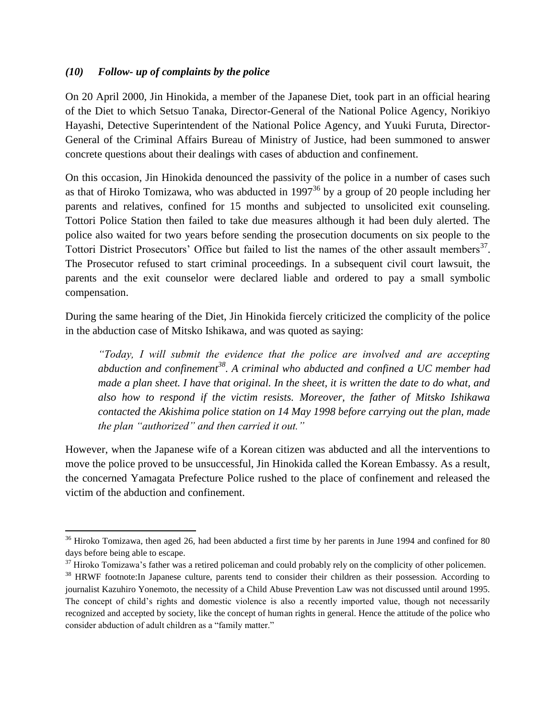#### *(10) Follow- up of complaints by the police*

l

On 20 April 2000, Jin Hinokida, a member of the Japanese Diet, took part in an official hearing of the Diet to which Setsuo Tanaka, Director-General of the National Police Agency, Norikiyo Hayashi, Detective Superintendent of the National Police Agency, and Yuuki Furuta, Director-General of the Criminal Affairs Bureau of Ministry of Justice, had been summoned to answer concrete questions about their dealings with cases of abduction and confinement.

On this occasion, Jin Hinokida denounced the passivity of the police in a number of cases such as that of Hiroko Tomizawa, who was abducted in  $1997^{36}$  by a group of 20 people including her parents and relatives, confined for 15 months and subjected to unsolicited exit counseling. Tottori Police Station then failed to take due measures although it had been duly alerted. The police also waited for two years before sending the prosecution documents on six people to the Tottori District Prosecutors' Office but failed to list the names of the other assault members<sup>37</sup>. The Prosecutor refused to start criminal proceedings. In a subsequent civil court lawsuit, the parents and the exit counselor were declared liable and ordered to pay a small symbolic compensation.

During the same hearing of the Diet, Jin Hinokida fiercely criticized the complicity of the police in the abduction case of Mitsko Ishikawa, and was quoted as saying:

*"Today, I will submit the evidence that the police are involved and are accepting abduction and confinement<sup>38</sup>. A criminal who abducted and confined a UC member had made a plan sheet. I have that original. In the sheet, it is written the date to do what, and also how to respond if the victim resists. Moreover, the father of Mitsko Ishikawa contacted the Akishima police station on 14 May 1998 before carrying out the plan, made the plan "authorized" and then carried it out."* 

However, when the Japanese wife of a Korean citizen was abducted and all the interventions to move the police proved to be unsuccessful, Jin Hinokida called the Korean Embassy. As a result, the concerned Yamagata Prefecture Police rushed to the place of confinement and released the victim of the abduction and confinement.

 $36$  Hiroko Tomizawa, then aged 26, had been abducted a first time by her parents in June 1994 and confined for 80 days before being able to escape.

<sup>&</sup>lt;sup>37</sup> Hiroko Tomizawa's father was a retired policeman and could probably rely on the complicity of other policemen.

<sup>&</sup>lt;sup>38</sup> HRWF footnote:In Japanese culture, parents tend to consider their children as their possession. According to journalist Kazuhiro Yonemoto, the necessity of a Child Abuse Prevention Law was not discussed until around 1995. The concept of child's rights and domestic violence is also a recently imported value, though not necessarily recognized and accepted by society, like the concept of human rights in general. Hence the attitude of the police who consider abduction of adult children as a "family matter."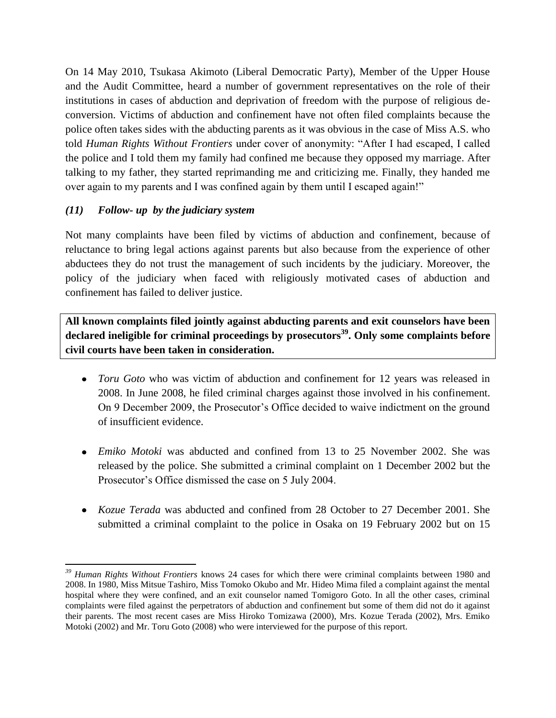On 14 May 2010, Tsukasa Akimoto (Liberal Democratic Party), Member of the Upper House and the Audit Committee, heard a number of government representatives on the role of their institutions in cases of abduction and deprivation of freedom with the purpose of religious deconversion. Victims of abduction and confinement have not often filed complaints because the police often takes sides with the abducting parents as it was obvious in the case of Miss A.S. who told *Human Rights Without Frontiers* under cover of anonymity: "After I had escaped, I called the police and I told them my family had confined me because they opposed my marriage. After talking to my father, they started reprimanding me and criticizing me. Finally, they handed me over again to my parents and I was confined again by them until I escaped again!"

## *(11) Follow- up by the judiciary system*

 $\overline{\phantom{a}}$ 

Not many complaints have been filed by victims of abduction and confinement, because of reluctance to bring legal actions against parents but also because from the experience of other abductees they do not trust the management of such incidents by the judiciary. Moreover, the policy of the judiciary when faced with religiously motivated cases of abduction and confinement has failed to deliver justice.

**All known complaints filed jointly against abducting parents and exit counselors have been declared ineligible for criminal proceedings by prosecutors<sup>39</sup>. Only some complaints before civil courts have been taken in consideration.** 

- *Toru Goto* who was victim of abduction and confinement for 12 years was released in 2008. In June 2008, he filed criminal charges against those involved in his confinement. On 9 December 2009, the Prosecutor's Office decided to waive indictment on the ground of insufficient evidence.
- *Emiko Motoki* was abducted and confined from 13 to 25 November 2002. She was released by the police. She submitted a criminal complaint on 1 December 2002 but the Prosecutor's Office dismissed the case on 5 July 2004.
- *Kozue Terada* was abducted and confined from 28 October to 27 December 2001. She submitted a criminal complaint to the police in Osaka on 19 February 2002 but on 15

*<sup>39</sup> Human Rights Without Frontiers* knows 24 cases for which there were criminal complaints between 1980 and 2008. In 1980, Miss Mitsue Tashiro, Miss Tomoko Okubo and Mr. Hideo Mima filed a complaint against the mental hospital where they were confined, and an exit counselor named Tomigoro Goto. In all the other cases, criminal complaints were filed against the perpetrators of abduction and confinement but some of them did not do it against their parents. The most recent cases are Miss Hiroko Tomizawa (2000), Mrs. Kozue Terada (2002), Mrs. Emiko Motoki (2002) and Mr. Toru Goto (2008) who were interviewed for the purpose of this report.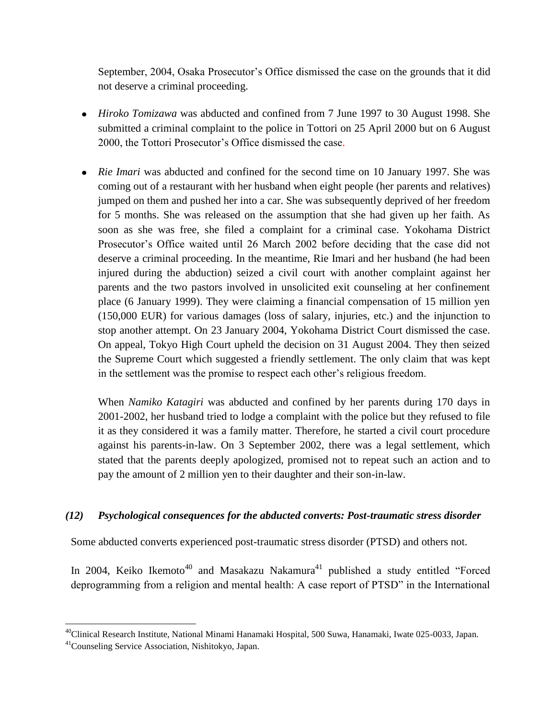September, 2004, Osaka Prosecutor's Office dismissed the case on the grounds that it did not deserve a criminal proceeding.

- *Hiroko Tomizawa* was abducted and confined from 7 June 1997 to 30 August 1998. She submitted a criminal complaint to the police in Tottori on 25 April 2000 but on 6 August 2000, the Tottori Prosecutor's Office dismissed the case.
- *Rie Imari* was abducted and confined for the second time on 10 January 1997. She was coming out of a restaurant with her husband when eight people (her parents and relatives) jumped on them and pushed her into a car. She was subsequently deprived of her freedom for 5 months. She was released on the assumption that she had given up her faith. As soon as she was free, she filed a complaint for a criminal case. Yokohama District Prosecutor's Office waited until 26 March 2002 before deciding that the case did not deserve a criminal proceeding. In the meantime, Rie Imari and her husband (he had been injured during the abduction) seized a civil court with another complaint against her parents and the two pastors involved in unsolicited exit counseling at her confinement place (6 January 1999). They were claiming a financial compensation of 15 million yen (150,000 EUR) for various damages (loss of salary, injuries, etc.) and the injunction to stop another attempt. On 23 January 2004, Yokohama District Court dismissed the case. On appeal, Tokyo High Court upheld the decision on 31 August 2004. They then seized the Supreme Court which suggested a friendly settlement. The only claim that was kept in the settlement was the promise to respect each other's religious freedom.

When *Namiko Katagiri* was abducted and confined by her parents during 170 days in 2001-2002, her husband tried to lodge a complaint with the police but they refused to file it as they considered it was a family matter. Therefore, he started a civil court procedure against his parents-in-law. On 3 September 2002, there was a legal settlement, which stated that the parents deeply apologized, promised not to repeat such an action and to pay the amount of 2 million yen to their daughter and their son-in-law.

#### *(12) Psychological consequences for the abducted converts: Post-traumatic stress disorder*

Some abducted converts experienced post-traumatic stress disorder (PTSD) and others not.

In 2004, Keiko Ikemoto<sup>40</sup> and Masakazu Nakamura<sup>41</sup> published a study entitled "Forced deprogramming from a religion and mental health: A case report of PTSD" in the International

 $\overline{\phantom{a}}$ 

<sup>&</sup>lt;sup>40</sup>Clinical Research Institute, National Minami Hanamaki Hospital, 500 Suwa, Hanamaki, Iwate 025-0033, Japan.

<sup>41</sup>Counseling Service Association, Nishitokyo, Japan.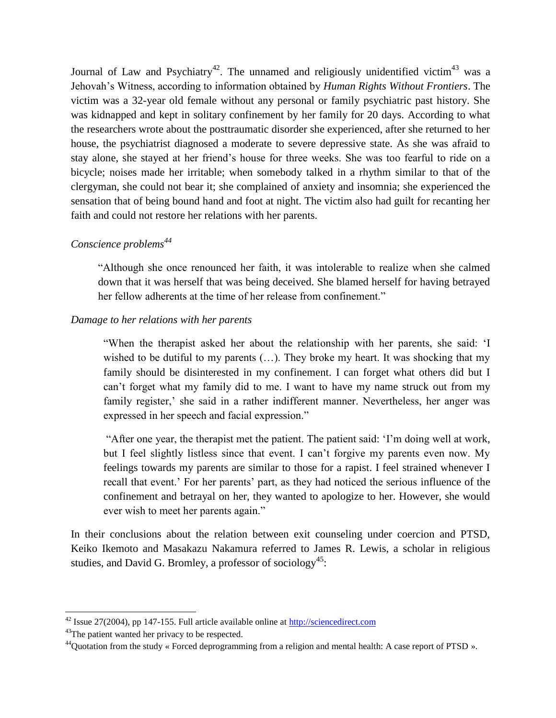Journal of Law and Psychiatry<sup>42</sup>. The unnamed and religiously unidentified victim<sup>43</sup> was a Jehovah's Witness, according to information obtained by *Human Rights Without Frontiers*. The victim was a 32-year old female without any personal or family psychiatric past history. She was kidnapped and kept in solitary confinement by her family for 20 days. According to what the researchers wrote about the posttraumatic disorder she experienced, after she returned to her house, the psychiatrist diagnosed a moderate to severe depressive state. As she was afraid to stay alone, she stayed at her friend's house for three weeks. She was too fearful to ride on a bicycle; noises made her irritable; when somebody talked in a rhythm similar to that of the clergyman, she could not bear it; she complained of anxiety and insomnia; she experienced the sensation that of being bound hand and foot at night. The victim also had guilt for recanting her faith and could not restore her relations with her parents.

## *Conscience problems<sup>44</sup>*

"Although she once renounced her faith, it was intolerable to realize when she calmed down that it was herself that was being deceived. She blamed herself for having betrayed her fellow adherents at the time of her release from confinement."

#### *Damage to her relations with her parents*

"When the therapist asked her about the relationship with her parents, she said: 'I wished to be dutiful to my parents (...). They broke my heart. It was shocking that my family should be disinterested in my confinement. I can forget what others did but I can't forget what my family did to me. I want to have my name struck out from my family register,' she said in a rather indifferent manner. Nevertheless, her anger was expressed in her speech and facial expression."

"After one year, the therapist met the patient. The patient said: 'I'm doing well at work, but I feel slightly listless since that event. I can't forgive my parents even now. My feelings towards my parents are similar to those for a rapist. I feel strained whenever I recall that event.' For her parents' part, as they had noticed the serious influence of the confinement and betrayal on her, they wanted to apologize to her. However, she would ever wish to meet her parents again."

In their conclusions about the relation between exit counseling under coercion and PTSD, Keiko Ikemoto and Masakazu Nakamura referred to James R. Lewis, a scholar in religious studies, and David G. Bromley, a professor of sociology<sup>45</sup>:

 $\overline{\phantom{a}}$ 

 $42$  Issue 27(2004), pp 147-155. Full article available online at  $\frac{http://sciencedirect.com}{http://sciencedirect.com}$ 

<sup>&</sup>lt;sup>43</sup>The patient wanted her privacy to be respected.

 $^{44}$ Quotation from the study « Forced deprogramming from a religion and mental health: A case report of PTSD ».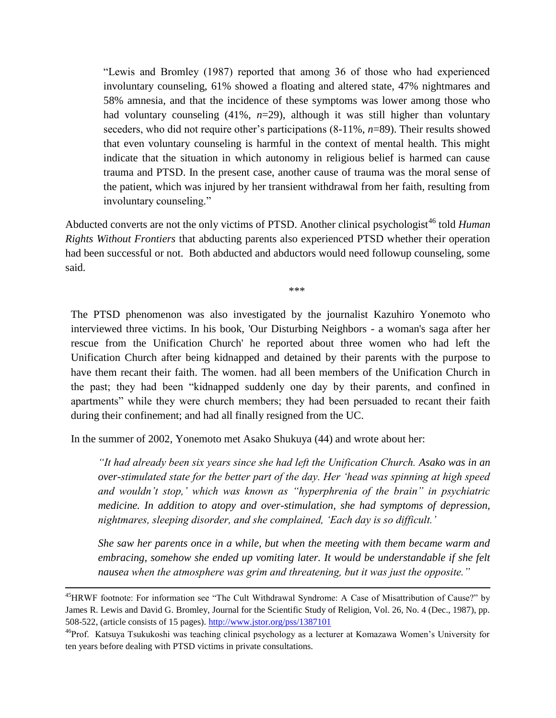"Lewis and Bromley (1987) reported that among 36 of those who had experienced involuntary counseling, 61% showed a floating and altered state, 47% nightmares and 58% amnesia, and that the incidence of these symptoms was lower among those who had voluntary counseling (41%, *n*=29), although it was still higher than voluntary seceders, who did not require other's participations (8-11%, *n*=89). Their results showed that even voluntary counseling is harmful in the context of mental health. This might indicate that the situation in which autonomy in religious belief is harmed can cause trauma and PTSD. In the present case, another cause of trauma was the moral sense of the patient, which was injured by her transient withdrawal from her faith, resulting from involuntary counseling."

Abducted converts are not the only victims of PTSD. Another clinical psychologist<sup>46</sup> told *Human Rights Without Frontiers* that abducting parents also experienced PTSD whether their operation had been successful or not. Both abducted and abductors would need followup counseling, some said.

\*\*\*

The PTSD phenomenon was also investigated by the journalist Kazuhiro Yonemoto who interviewed three victims. In his book, 'Our Disturbing Neighbors - a woman's saga after her rescue from the Unification Church' he reported about three women who had left the Unification Church after being kidnapped and detained by their parents with the purpose to have them recant their faith. The women. had all been members of the Unification Church in the past; they had been "kidnapped suddenly one day by their parents, and confined in apartments" while they were church members; they had been persuaded to recant their faith during their confinement; and had all finally resigned from the UC.

In the summer of 2002, Yonemoto met Asako Shukuya (44) and wrote about her:

 $\overline{\phantom{a}}$ 

*"It had already been six years since she had left the Unification Church. Asako was in an over-stimulated state for the better part of the day. Her 'head was spinning at high speed and wouldn't stop,' which was known as "hyperphrenia of the brain" in psychiatric medicine. In addition to atopy and over-stimulation, she had symptoms of depression, nightmares, sleeping disorder, and she complained, 'Each day is so difficult.'*

*She saw her parents once in a while, but when the meeting with them became warm and embracing, somehow she ended up vomiting later. It would be understandable if she felt nausea when the atmosphere was grim and threatening, but it was just the opposite."*

<sup>&</sup>lt;sup>45</sup>HRWF footnote: For information see "The Cult Withdrawal Syndrome: A Case of Misattribution of Cause?" by James R. Lewis and David G. Bromley, Journal for the Scientific Study of Religion, Vol. 26, No. 4 (Dec., 1987), pp. 508-522, (article consists of 15 pages)[. http://www.jstor.org/pss/1387101](http://www.jstor.org/pss/1387101)

<sup>46</sup>Prof. Katsuya Tsukukoshi was teaching clinical psychology as a lecturer at Komazawa Women's University for ten years before dealing with PTSD victims in private consultations.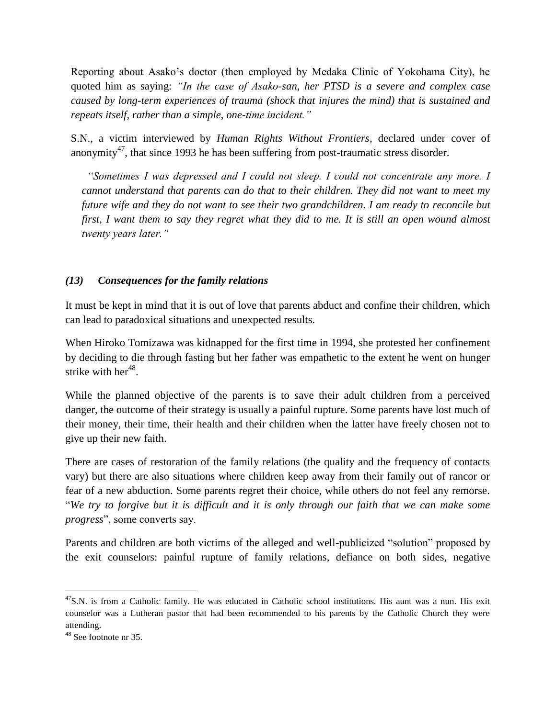Reporting about Asako's doctor (then employed by Medaka Clinic of Yokohama City), he quoted him as saying: *"In the case of Asako-san, her PTSD is a severe and complex case caused by long-term experiences of trauma (shock that injures the mind) that is sustained and repeats itself, rather than a simple, one-time incident."*

S.N., a victim interviewed by *Human Rights Without Frontiers*, declared under cover of anonymity<sup>47</sup>, that since 1993 he has been suffering from post-traumatic stress disorder.

 *"Sometimes I was depressed and I could not sleep. I could not concentrate any more. I cannot understand that parents can do that to their children. They did not want to meet my future wife and they do not want to see their two grandchildren. I am ready to reconcile but first, I want them to say they regret what they did to me. It is still an open wound almost twenty years later."* 

#### *(13) Consequences for the family relations*

It must be kept in mind that it is out of love that parents abduct and confine their children, which can lead to paradoxical situations and unexpected results.

When Hiroko Tomizawa was kidnapped for the first time in 1994, she protested her confinement by deciding to die through fasting but her father was empathetic to the extent he went on hunger strike with her<sup>48</sup>.

While the planned objective of the parents is to save their adult children from a perceived danger, the outcome of their strategy is usually a painful rupture. Some parents have lost much of their money, their time, their health and their children when the latter have freely chosen not to give up their new faith.

There are cases of restoration of the family relations (the quality and the frequency of contacts vary) but there are also situations where children keep away from their family out of rancor or fear of a new abduction. Some parents regret their choice, while others do not feel any remorse. "*We try to forgive but it is difficult and it is only through our faith that we can make some progress*", some converts say.

Parents and children are both victims of the alleged and well-publicized "solution" proposed by the exit counselors: painful rupture of family relations, defiance on both sides, negative

 $\overline{\phantom{a}}$ 

<sup>&</sup>lt;sup>47</sup>S.N. is from a Catholic family. He was educated in Catholic school institutions. His aunt was a nun. His exit counselor was a Lutheran pastor that had been recommended to his parents by the Catholic Church they were attending.

<sup>48</sup> See footnote nr 35.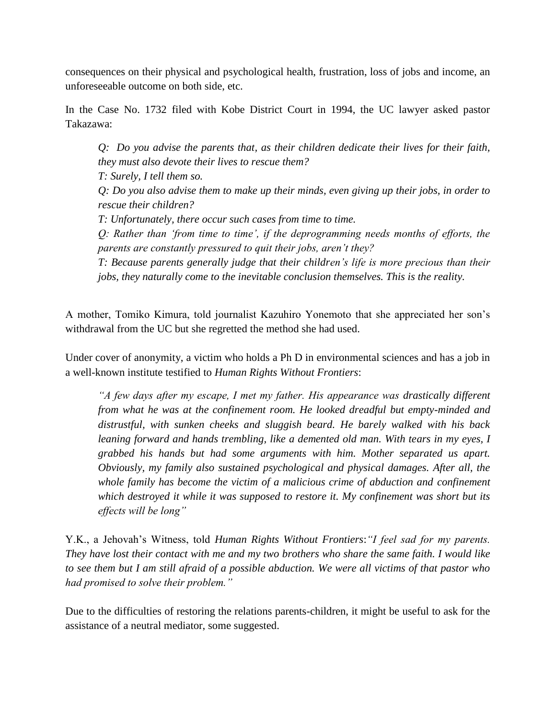consequences on their physical and psychological health, frustration, loss of jobs and income, an unforeseeable outcome on both side, etc.

In the Case No. 1732 filed with Kobe District Court in 1994, the UC lawyer asked pastor Takazawa:

*Q: Do you advise the parents that, as their children dedicate their lives for their faith, they must also devote their lives to rescue them?*

*T: Surely, I tell them so.*

*Q: Do you also advise them to make up their minds, even giving up their jobs, in order to rescue their children?*

*T: Unfortunately, there occur such cases from time to time.*

*Q: Rather than 'from time to time', if the deprogramming needs months of efforts, the parents are constantly pressured to quit their jobs, aren't they?*

*T: Because parents generally judge that their children's life is more precious than their jobs, they naturally come to the inevitable conclusion themselves. This is the reality.*

A mother, Tomiko Kimura, told journalist Kazuhiro Yonemoto that she appreciated her son's withdrawal from the UC but she regretted the method she had used.

Under cover of anonymity, a victim who holds a Ph D in environmental sciences and has a job in a well-known institute testified to *Human Rights Without Frontiers*:

*"A few days after my escape, I met my father. His appearance was drastically different from what he was at the confinement room. He looked dreadful but empty-minded and distrustful, with sunken cheeks and sluggish beard. He barely walked with his back leaning forward and hands trembling, like a demented old man. With tears in my eyes, I grabbed his hands but had some arguments with him. Mother separated us apart. Obviously, my family also sustained psychological and physical damages. After all, the whole family has become the victim of a malicious crime of abduction and confinement which destroyed it while it was supposed to restore it. My confinement was short but its effects will be long"*

Y.K., a Jehovah's Witness, told *Human Rights Without Frontiers*:*"I feel sad for my parents. They have lost their contact with me and my two brothers who share the same faith. I would like to see them but I am still afraid of a possible abduction. We were all victims of that pastor who had promised to solve their problem."*

Due to the difficulties of restoring the relations parents-children, it might be useful to ask for the assistance of a neutral mediator, some suggested.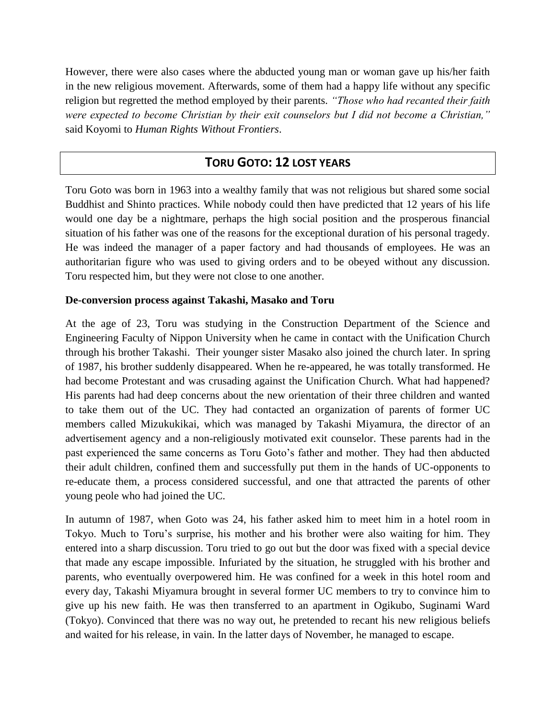However, there were also cases where the abducted young man or woman gave up his/her faith in the new religious movement. Afterwards, some of them had a happy life without any specific religion but regretted the method employed by their parents. *"Those who had recanted their faith were expected to become Christian by their exit counselors but I did not become a Christian,"* said Koyomi to *Human Rights Without Frontiers*.

## **TORU GOTO: 12 LOST YEARS**

Toru Goto was born in 1963 into a wealthy family that was not religious but shared some social Buddhist and Shinto practices. While nobody could then have predicted that 12 years of his life would one day be a nightmare, perhaps the high social position and the prosperous financial situation of his father was one of the reasons for the exceptional duration of his personal tragedy. He was indeed the manager of a paper factory and had thousands of employees. He was an authoritarian figure who was used to giving orders and to be obeyed without any discussion. Toru respected him, but they were not close to one another.

#### **De-conversion process against Takashi, Masako and Toru**

At the age of 23, Toru was studying in the Construction Department of the Science and Engineering Faculty of Nippon University when he came in contact with the Unification Church through his brother Takashi. Their younger sister Masako also joined the church later. In spring of 1987, his brother suddenly disappeared. When he re-appeared, he was totally transformed. He had become Protestant and was crusading against the Unification Church. What had happened? His parents had had deep concerns about the new orientation of their three children and wanted to take them out of the UC. They had contacted an organization of parents of former UC members called Mizukukikai, which was managed by Takashi Miyamura, the director of an advertisement agency and a non-religiously motivated exit counselor. These parents had in the past experienced the same concerns as Toru Goto's father and mother. They had then abducted their adult children, confined them and successfully put them in the hands of UC-opponents to re-educate them, a process considered successful, and one that attracted the parents of other young peole who had joined the UC.

In autumn of 1987, when Goto was 24, his father asked him to meet him in a hotel room in Tokyo. Much to Toru's surprise, his mother and his brother were also waiting for him. They entered into a sharp discussion. Toru tried to go out but the door was fixed with a special device that made any escape impossible. Infuriated by the situation, he struggled with his brother and parents, who eventually overpowered him. He was confined for a week in this hotel room and every day, Takashi Miyamura brought in several former UC members to try to convince him to give up his new faith. He was then transferred to an apartment in Ogikubo, Suginami Ward (Tokyo). Convinced that there was no way out, he pretended to recant his new religious beliefs and waited for his release, in vain. In the latter days of November, he managed to escape.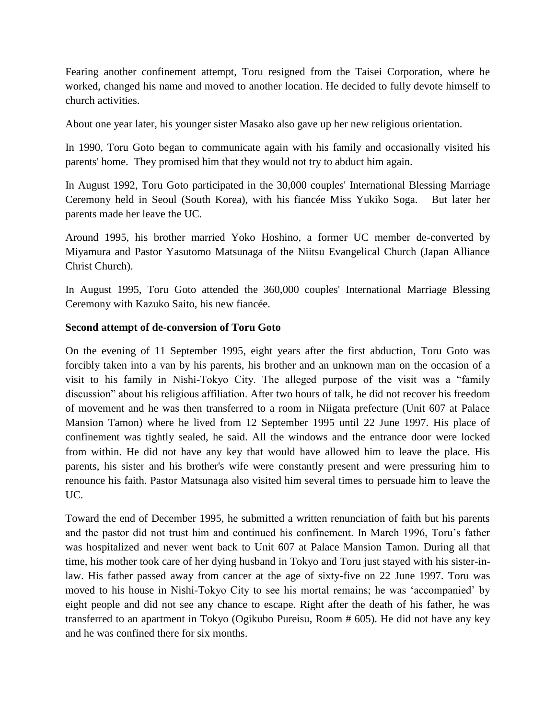Fearing another confinement attempt, Toru resigned from the Taisei Corporation, where he worked, changed his name and moved to another location. He decided to fully devote himself to church activities.

About one year later, his younger sister Masako also gave up her new religious orientation.

In 1990, Toru Goto began to communicate again with his family and occasionally visited his parents' home. They promised him that they would not try to abduct him again.

In August 1992, Toru Goto participated in the 30,000 couples' International Blessing Marriage Ceremony held in Seoul (South Korea), with his fiancée Miss Yukiko Soga. But later her parents made her leave the UC.

Around 1995, his brother married Yoko Hoshino, a former UC member de-converted by Miyamura and Pastor Yasutomo Matsunaga of the Niitsu Evangelical Church (Japan Alliance Christ Church).

In August 1995, Toru Goto attended the 360,000 couples' International Marriage Blessing Ceremony with Kazuko Saito, his new fiancée.

#### **Second attempt of de-conversion of Toru Goto**

On the evening of 11 September 1995, eight years after the first abduction, Toru Goto was forcibly taken into a van by his parents, his brother and an unknown man on the occasion of a visit to his family in Nishi-Tokyo City. The alleged purpose of the visit was a "family discussion" about his religious affiliation. After two hours of talk, he did not recover his freedom of movement and he was then transferred to a room in Niigata prefecture (Unit 607 at Palace Mansion Tamon) where he lived from 12 September 1995 until 22 June 1997. His place of confinement was tightly sealed, he said. All the windows and the entrance door were locked from within. He did not have any key that would have allowed him to leave the place. His parents, his sister and his brother's wife were constantly present and were pressuring him to renounce his faith. Pastor Matsunaga also visited him several times to persuade him to leave the UC.

Toward the end of December 1995, he submitted a written renunciation of faith but his parents and the pastor did not trust him and continued his confinement. In March 1996, Toru's father was hospitalized and never went back to Unit 607 at Palace Mansion Tamon. During all that time, his mother took care of her dying husband in Tokyo and Toru just stayed with his sister-inlaw. His father passed away from cancer at the age of sixty-five on 22 June 1997. Toru was moved to his house in Nishi-Tokyo City to see his mortal remains; he was 'accompanied' by eight people and did not see any chance to escape. Right after the death of his father, he was transferred to an apartment in Tokyo (Ogikubo Pureisu, Room # 605). He did not have any key and he was confined there for six months.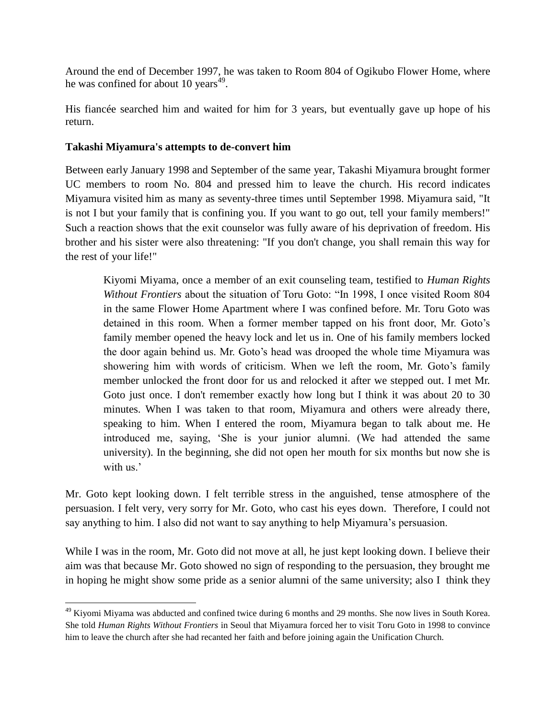Around the end of December 1997, he was taken to Room 804 of Ogikubo Flower Home, where he was confined for about 10 years<sup>49</sup>.

His fiancée searched him and waited for him for 3 years, but eventually gave up hope of his return.

## **Takashi Miyamura's attempts to de-convert him**

 $\overline{\phantom{a}}$ 

Between early January 1998 and September of the same year, Takashi Miyamura brought former UC members to room No. 804 and pressed him to leave the church. His record indicates Miyamura visited him as many as seventy-three times until September 1998. Miyamura said, "It is not I but your family that is confining you. If you want to go out, tell your family members!" Such a reaction shows that the exit counselor was fully aware of his deprivation of freedom. His brother and his sister were also threatening: "If you don't change, you shall remain this way for the rest of your life!"

Kiyomi Miyama, once a member of an exit counseling team, testified to *Human Rights Without Frontiers* about the situation of Toru Goto: "In 1998, I once visited Room 804 in the same Flower Home Apartment where I was confined before. Mr. Toru Goto was detained in this room. When a former member tapped on his front door, Mr. Goto's family member opened the heavy lock and let us in. One of his family members locked the door again behind us. Mr. Goto's head was drooped the whole time Miyamura was showering him with words of criticism. When we left the room, Mr. Goto's family member unlocked the front door for us and relocked it after we stepped out. I met Mr. Goto just once. I don't remember exactly how long but I think it was about 20 to 30 minutes. When I was taken to that room, Miyamura and others were already there, speaking to him. When I entered the room, Miyamura began to talk about me. He introduced me, saying, 'She is your junior alumni. (We had attended the same university). In the beginning, she did not open her mouth for six months but now she is with us.'

Mr. Goto kept looking down. I felt terrible stress in the anguished, tense atmosphere of the persuasion. I felt very, very sorry for Mr. Goto, who cast his eyes down. Therefore, I could not say anything to him. I also did not want to say anything to help Miyamura's persuasion.

While I was in the room, Mr. Goto did not move at all, he just kept looking down. I believe their aim was that because Mr. Goto showed no sign of responding to the persuasion, they brought me in hoping he might show some pride as a senior alumni of the same university; also I think they

<sup>&</sup>lt;sup>49</sup> Kiyomi Miyama was abducted and confined twice during 6 months and 29 months. She now lives in South Korea. She told *Human Rights Without Frontiers* in Seoul that Miyamura forced her to visit Toru Goto in 1998 to convince him to leave the church after she had recanted her faith and before joining again the Unification Church.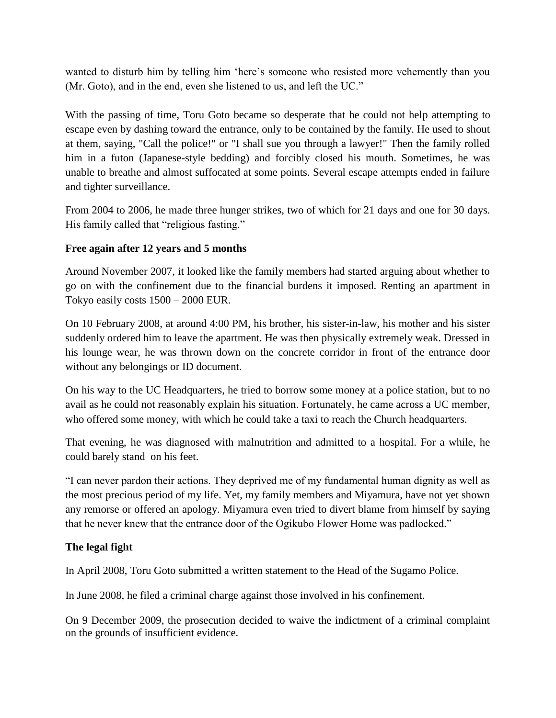wanted to disturb him by telling him 'here's someone who resisted more vehemently than you (Mr. Goto), and in the end, even she listened to us, and left the UC."

With the passing of time, Toru Goto became so desperate that he could not help attempting to escape even by dashing toward the entrance, only to be contained by the family. He used to shout at them, saying, "Call the police!" or "I shall sue you through a lawyer!" Then the family rolled him in a futon (Japanese-style bedding) and forcibly closed his mouth. Sometimes, he was unable to breathe and almost suffocated at some points. Several escape attempts ended in failure and tighter surveillance.

From 2004 to 2006, he made three hunger strikes, two of which for 21 days and one for 30 days. His family called that "religious fasting."

## **Free again after 12 years and 5 months**

Around November 2007, it looked like the family members had started arguing about whether to go on with the confinement due to the financial burdens it imposed. Renting an apartment in Tokyo easily costs 1500 – 2000 EUR.

On 10 February 2008, at around 4:00 PM, his brother, his sister-in-law, his mother and his sister suddenly ordered him to leave the apartment. He was then physically extremely weak. Dressed in his lounge wear, he was thrown down on the concrete corridor in front of the entrance door without any belongings or ID document.

On his way to the UC Headquarters, he tried to borrow some money at a police station, but to no avail as he could not reasonably explain his situation. Fortunately, he came across a UC member, who offered some money, with which he could take a taxi to reach the Church headquarters.

That evening, he was diagnosed with malnutrition and admitted to a hospital. For a while, he could barely stand on his feet.

"I can never pardon their actions. They deprived me of my fundamental human dignity as well as the most precious period of my life. Yet, my family members and Miyamura, have not yet shown any remorse or offered an apology. Miyamura even tried to divert blame from himself by saying that he never knew that the entrance door of the Ogikubo Flower Home was padlocked."

#### **The legal fight**

In April 2008, Toru Goto submitted a written statement to the Head of the Sugamo Police.

In June 2008, he filed a criminal charge against those involved in his confinement.

On 9 December 2009, the prosecution decided to waive the indictment of a criminal complaint on the grounds of insufficient evidence.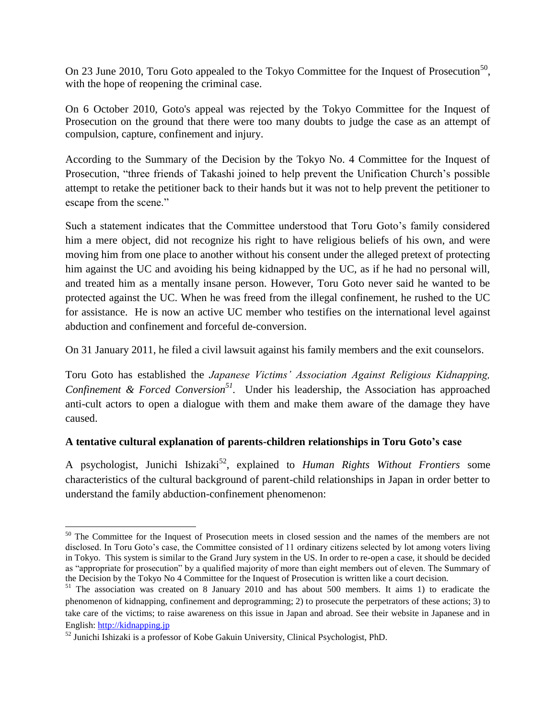On 23 June 2010, Toru Goto appealed to the Tokyo Committee for the Inquest of Prosecution<sup>50</sup>, with the hope of reopening the criminal case.

On 6 October 2010, Goto's appeal was rejected by the Tokyo Committee for the Inquest of Prosecution on the ground that there were too many doubts to judge the case as an attempt of compulsion, capture, confinement and injury.

According to the Summary of the Decision by the Tokyo No. 4 Committee for the Inquest of Prosecution, "three friends of Takashi joined to help prevent the Unification Church's possible attempt to retake the petitioner back to their hands but it was not to help prevent the petitioner to escape from the scene."

Such a statement indicates that the Committee understood that Toru Goto's family considered him a mere object, did not recognize his right to have religious beliefs of his own, and were moving him from one place to another without his consent under the alleged pretext of protecting him against the UC and avoiding his being kidnapped by the UC, as if he had no personal will, and treated him as a mentally insane person. However, Toru Goto never said he wanted to be protected against the UC. When he was freed from the illegal confinement, he rushed to the UC for assistance. He is now an active UC member who testifies on the international level against abduction and confinement and forceful de-conversion.

On 31 January 2011, he filed a civil lawsuit against his family members and the exit counselors.

Toru Goto has established the *Japanese Victims' Association Against Religious Kidnapping, Confinement & Forced Conversion<sup>51</sup> .* Under his leadership, the Association has approached anti-cult actors to open a dialogue with them and make them aware of the damage they have caused.

## **A tentative cultural explanation of parents-children relationships in Toru Goto's case**

A psychologist, Junichi Ishizaki<sup>52</sup>, explained to *Human Rights Without Frontiers* some characteristics of the cultural background of parent-child relationships in Japan in order better to understand the family abduction-confinement phenomenon:

 $\overline{a}$ 

<sup>&</sup>lt;sup>50</sup> The Committee for the Inquest of Prosecution meets in closed session and the names of the members are not disclosed. In Toru Goto's case, the Committee consisted of 11 ordinary citizens selected by lot among voters living in Tokyo. This system is similar to the Grand Jury system in the US. In order to re-open a case, it should be decided as "appropriate for prosecution" by a qualified majority of more than eight members out of eleven. The Summary of the Decision by the Tokyo No 4 Committee for the Inquest of Prosecution is written like a court decision.

<sup>&</sup>lt;sup>51</sup> The association was created on 8 January 2010 and has about 500 members. It aims 1) to eradicate the phenomenon of kidnapping, confinement and deprogramming; 2) to prosecute the perpetrators of these actions; 3) to take care of the victims; to raise awareness on this issue in Japan and abroad. See their website in Japanese and in English: [http://kidnapping.jp](http://kidnapping.jp/) 

<sup>52</sup> Junichi Ishizaki is a professor of Kobe Gakuin University, Clinical Psychologist, PhD.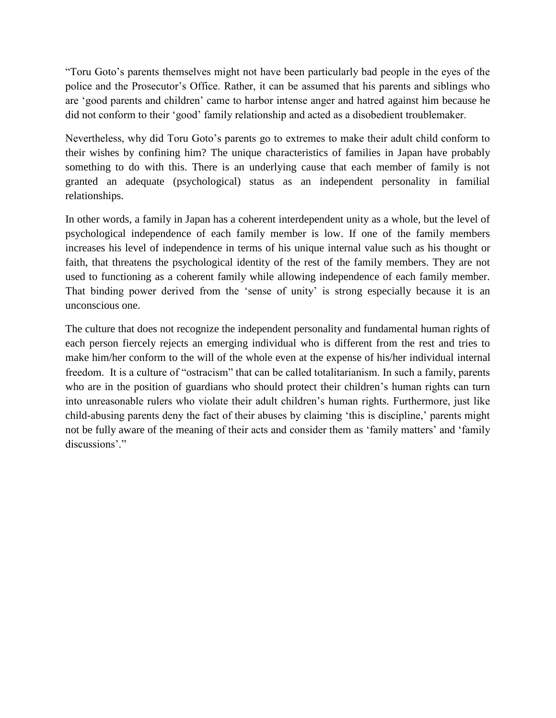"Toru Goto's parents themselves might not have been particularly bad people in the eyes of the police and the Prosecutor's Office. Rather, it can be assumed that his parents and siblings who are 'good parents and children' came to harbor intense anger and hatred against him because he did not conform to their 'good' family relationship and acted as a disobedient troublemaker.

Nevertheless, why did Toru Goto's parents go to extremes to make their adult child conform to their wishes by confining him? The unique characteristics of families in Japan have probably something to do with this. There is an underlying cause that each member of family is not granted an adequate (psychological) status as an independent personality in familial relationships.

In other words, a family in Japan has a coherent interdependent unity as a whole, but the level of psychological independence of each family member is low. If one of the family members increases his level of independence in terms of his unique internal value such as his thought or faith, that threatens the psychological identity of the rest of the family members. They are not used to functioning as a coherent family while allowing independence of each family member. That binding power derived from the 'sense of unity' is strong especially because it is an unconscious one.

The culture that does not recognize the independent personality and fundamental human rights of each person fiercely rejects an emerging individual who is different from the rest and tries to make him/her conform to the will of the whole even at the expense of his/her individual internal freedom. It is a culture of "ostracism" that can be called totalitarianism. In such a family, parents who are in the position of guardians who should protect their children's human rights can turn into unreasonable rulers who violate their adult children's human rights. Furthermore, just like child-abusing parents deny the fact of their abuses by claiming 'this is discipline,' parents might not be fully aware of the meaning of their acts and consider them as 'family matters' and 'family discussions'."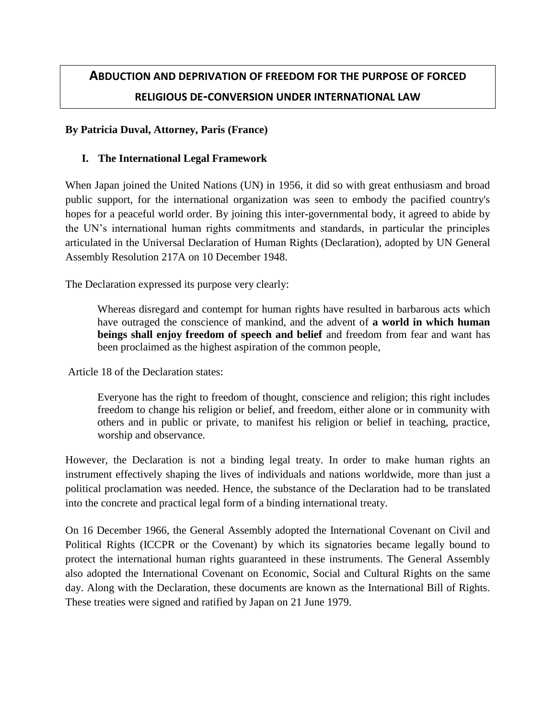## **ABDUCTION AND DEPRIVATION OF FREEDOM FOR THE PURPOSE OF FORCED RELIGIOUS DE-CONVERSION UNDER INTERNATIONAL LAW**

#### **By Patricia Duval, Attorney, Paris (France)**

#### **I. The International Legal Framework**

When Japan joined the United Nations (UN) in 1956, it did so with great enthusiasm and broad public support, for the international organization was seen to embody the pacified country's hopes for a peaceful world order. By joining this inter-governmental body, it agreed to abide by the UN's international human rights commitments and standards, in particular the principles articulated in the Universal Declaration of Human Rights (Declaration), adopted by UN General Assembly Resolution [217A](http://daccess-ods.un.org/access.nsf/Get?Open&DS=A/RES/217(III)&Lang=E) on 10 December 1948.

The Declaration expressed its purpose very clearly:

Whereas disregard and contempt for human rights have resulted in barbarous acts which have outraged the conscience of mankind, and the advent of **a world in which human beings shall enjoy freedom of speech and belief** and freedom from fear and want has been proclaimed as the highest aspiration of the common people,

Article 18 of the Declaration states:

Everyone has the right to freedom of thought, conscience and religion; this right includes freedom to change his religion or belief, and freedom, either alone or in community with others and in public or private, to manifest his religion or belief in teaching, practice, worship and observance.

However, the Declaration is not a binding legal treaty. In order to make human rights an instrument effectively shaping the lives of individuals and nations worldwide, more than just a political proclamation was needed. Hence, the substance of the Declaration had to be translated into the concrete and practical legal form of a binding international treaty.

On 16 December 1966, the General Assembly adopted the International Covenant on Civil and Political Rights (ICCPR or the Covenant) by which its signatories became legally bound to protect the international human rights guaranteed in these instruments. The General Assembly also adopted the International Covenant on Economic, Social and Cultural Rights on the same day. Along with the Declaration, these documents are known as the International Bill of Rights. These treaties were signed and ratified by Japan on 21 June 1979.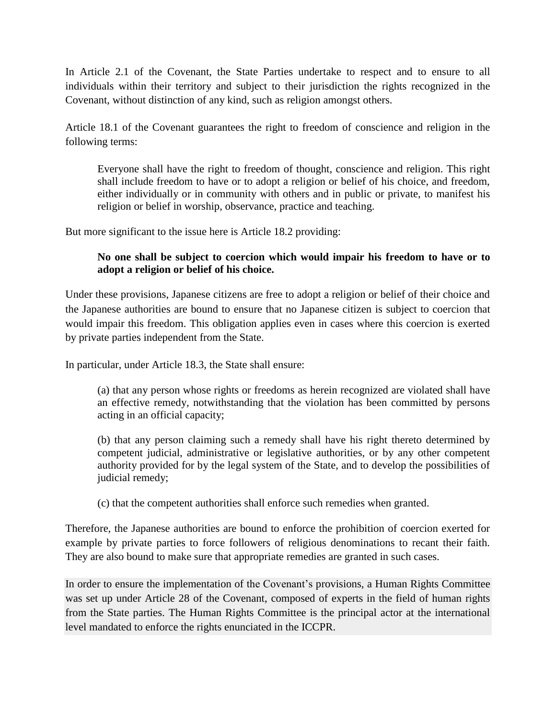In Article 2.1 of the Covenant, the State Parties undertake to respect and to ensure to all individuals within their territory and subject to their jurisdiction the rights recognized in the Covenant, without distinction of any kind, such as religion amongst others.

Article 18.1 of the Covenant guarantees the right to freedom of conscience and religion in the following terms:

Everyone shall have the right to freedom of thought, conscience and religion. This right shall include freedom to have or to adopt a religion or belief of his choice, and freedom, either individually or in community with others and in public or private, to manifest his religion or belief in worship, observance, practice and teaching.

But more significant to the issue here is Article 18.2 providing:

## **No one shall be subject to coercion which would impair his freedom to have or to adopt a religion or belief of his choice.**

Under these provisions, Japanese citizens are free to adopt a religion or belief of their choice and the Japanese authorities are bound to ensure that no Japanese citizen is subject to coercion that would impair this freedom. This obligation applies even in cases where this coercion is exerted by private parties independent from the State.

In particular, under Article 18.3, the State shall ensure:

(a) that any person whose rights or freedoms as herein recognized are violated shall have an effective remedy, notwithstanding that the violation has been committed by persons acting in an official capacity;

(b) that any person claiming such a remedy shall have his right thereto determined by competent judicial, administrative or legislative authorities, or by any other competent authority provided for by the legal system of the State, and to develop the possibilities of judicial remedy;

(c) that the competent authorities shall enforce such remedies when granted.

Therefore, the Japanese authorities are bound to enforce the prohibition of coercion exerted for example by private parties to force followers of religious denominations to recant their faith. They are also bound to make sure that appropriate remedies are granted in such cases.

In order to ensure the implementation of the Covenant's provisions, a Human Rights Committee was set up under Article 28 of the Covenant, composed of experts in the field of human rights from the State parties. The Human Rights Committee is the principal actor at the international level mandated to enforce the rights enunciated in the ICCPR.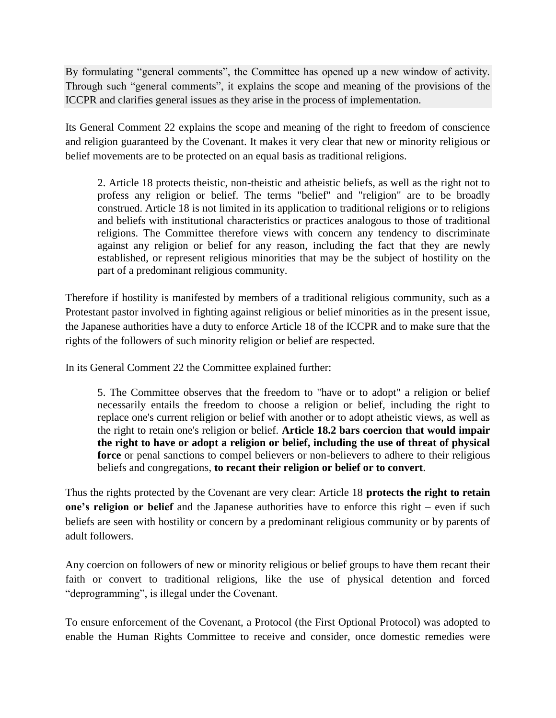By formulating "general comments", the Committee has opened up a new window of activity. Through such "general comments", it explains the scope and meaning of the provisions of the ICCPR and clarifies general issues as they arise in the process of implementation.

Its General Comment 22 explains the scope and meaning of the right to freedom of conscience and religion guaranteed by the Covenant. It makes it very clear that new or minority religious or belief movements are to be protected on an equal basis as traditional religions.

2. Article 18 protects theistic, non-theistic and atheistic beliefs, as well as the right not to profess any religion or belief. The terms "belief" and "religion" are to be broadly construed. Article 18 is not limited in its application to traditional religions or to religions and beliefs with institutional characteristics or practices analogous to those of traditional religions. The Committee therefore views with concern any tendency to discriminate against any religion or belief for any reason, including the fact that they are newly established, or represent religious minorities that may be the subject of hostility on the part of a predominant religious community.

Therefore if hostility is manifested by members of a traditional religious community, such as a Protestant pastor involved in fighting against religious or belief minorities as in the present issue, the Japanese authorities have a duty to enforce Article 18 of the ICCPR and to make sure that the rights of the followers of such minority religion or belief are respected.

In its General Comment 22 the Committee explained further:

5. The Committee observes that the freedom to "have or to adopt" a religion or belief necessarily entails the freedom to choose a religion or belief, including the right to replace one's current religion or belief with another or to adopt atheistic views, as well as the right to retain one's religion or belief. **Article 18.2 bars coercion that would impair the right to have or adopt a religion or belief, including the use of threat of physical force** or penal sanctions to compel believers or non-believers to adhere to their religious beliefs and congregations, **to recant their religion or belief or to convert**.

Thus the rights protected by the Covenant are very clear: Article 18 **protects the right to retain one's religion or belief** and the Japanese authorities have to enforce this right – even if such beliefs are seen with hostility or concern by a predominant religious community or by parents of adult followers.

Any coercion on followers of new or minority religious or belief groups to have them recant their faith or convert to traditional religions, like the use of physical detention and forced "deprogramming", is illegal under the Covenant.

To ensure enforcement of the Covenant, a Protocol (the First Optional Protocol) was adopted to enable the Human Rights Committee to receive and consider, once domestic remedies were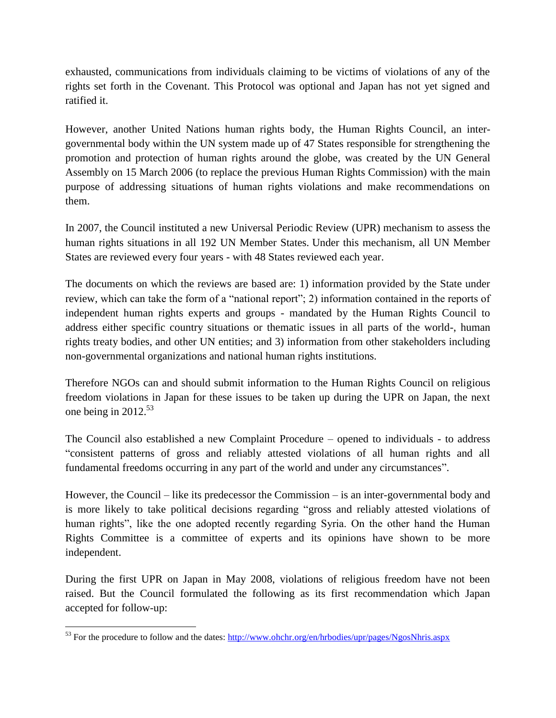exhausted, communications from individuals claiming to be victims of violations of any of the rights set forth in the Covenant. This Protocol was optional and Japan has not yet signed and ratified it.

However, another United Nations human rights body, the Human Rights Council, an intergovernmental body within the UN system made up of 47 States responsible for strengthening the promotion and protection of human rights around the globe, was created by the UN [General](http://www.un.org/ga/)  [Assembly](http://www.un.org/ga/) on 15 March 2006 (to replace the previous Human Rights Commission) with the main purpose of addressing situations of human rights violations and make recommendations on them.

In 2007, the Council instituted a new [Universal Periodic Review](http://www.ohchr.org/EN/HRBodies/UPR/Pages/UPRmain.aspx) (UPR) mechanism to assess the human rights situations in all 192 UN Member States. Under this mechanism, all UN Member States are reviewed every four years - with 48 States reviewed each year.

The documents on which the reviews are based are: 1) information provided by the State under review, which can take the form of a "national report"; 2) information contained in the reports of independent human rights experts and groups - mandated by the Human Rights Council to address either specific country situations or thematic issues in all parts of the world-, human rights [treaty bodies,](http://www.ohchr.org/EN/HRBodies/Pages/HumanRightsBodies.aspx) and other UN entities; and 3) information from other stakeholders including non-governmental organizations and national human rights institutions.

Therefore NGOs can and should submit information to the Human Rights Council on religious freedom violations in Japan for these issues to be taken up during the UPR on Japan, the next one being in  $2012^{53}$ 

The Council also established a new Complaint Procedure – opened to individuals - to address "consistent patterns of gross and reliably attested violations of all human rights and all fundamental freedoms occurring in any part of the world and under any circumstances".

However, the Council – like its predecessor the Commission – is an inter-governmental body and is more likely to take political decisions regarding "gross and reliably attested violations of human rights", like the one adopted recently regarding Syria. On the other hand the Human Rights Committee is a committee of experts and its opinions have shown to be more independent.

During the first UPR on Japan in May 2008, violations of religious freedom have not been raised. But the Council formulated the following as its first recommendation which Japan accepted for follow-up:

 $\overline{\phantom{a}}$ <sup>53</sup> For the procedure to follow and the dates:<http://www.ohchr.org/en/hrbodies/upr/pages/NgosNhris.aspx>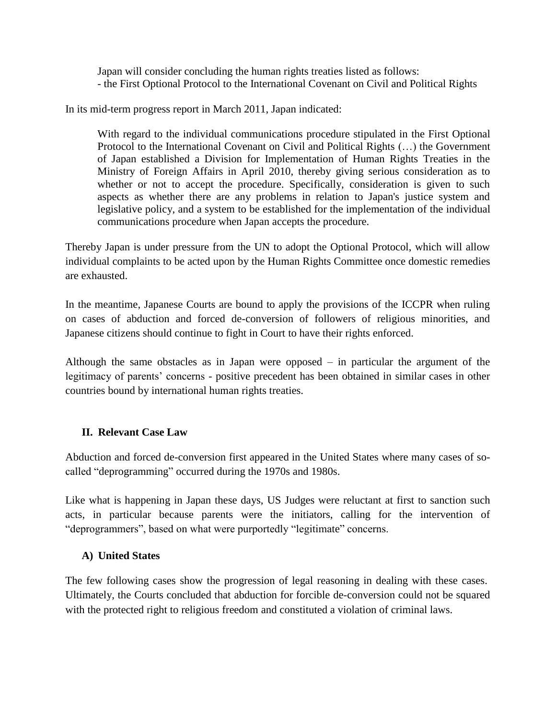Japan will consider concluding the human rights treaties listed as follows: - the First Optional Protocol to the International Covenant on Civil and Political Rights

In its mid-term progress report in March 2011, Japan indicated:

With regard to the individual communications procedure stipulated in the First Optional Protocol to the International Covenant on Civil and Political Rights (…) the Government of Japan established a Division for Implementation of Human Rights Treaties in the Ministry of Foreign Affairs in April 2010, thereby giving serious consideration as to whether or not to accept the procedure. Specifically, consideration is given to such aspects as whether there are any problems in relation to Japan's justice system and legislative policy, and a system to be established for the implementation of the individual communications procedure when Japan accepts the procedure.

Thereby Japan is under pressure from the UN to adopt the Optional Protocol, which will allow individual complaints to be acted upon by the Human Rights Committee once domestic remedies are exhausted.

In the meantime, Japanese Courts are bound to apply the provisions of the ICCPR when ruling on cases of abduction and forced de-conversion of followers of religious minorities, and Japanese citizens should continue to fight in Court to have their rights enforced.

Although the same obstacles as in Japan were opposed – in particular the argument of the legitimacy of parents' concerns - positive precedent has been obtained in similar cases in other countries bound by international human rights treaties.

#### **II. Relevant Case Law**

Abduction and forced de-conversion first appeared in the United States where many cases of socalled "deprogramming" occurred during the 1970s and 1980s.

Like what is happening in Japan these days, US Judges were reluctant at first to sanction such acts, in particular because parents were the initiators, calling for the intervention of "deprogrammers", based on what were purportedly "legitimate" concerns.

#### **A) United States**

The few following cases show the progression of legal reasoning in dealing with these cases. Ultimately, the Courts concluded that abduction for forcible de-conversion could not be squared with the protected right to religious freedom and constituted a violation of criminal laws.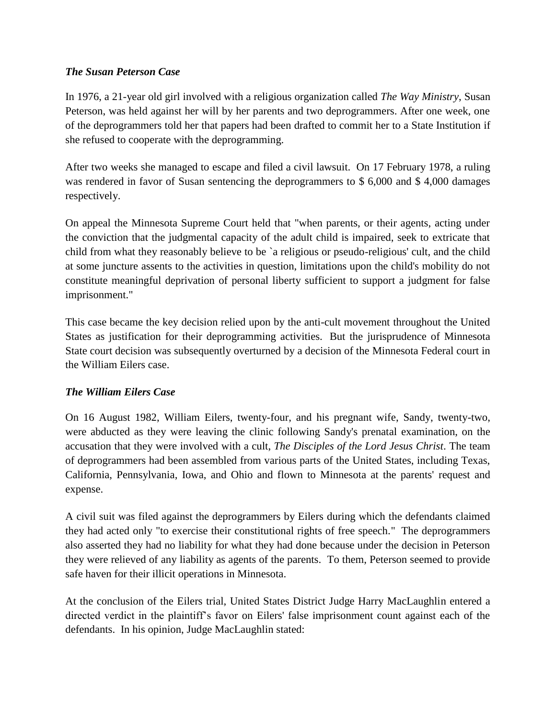## *The Susan Peterson Case*

In 1976, a 21-year old girl involved with a religious organization called *The Way Ministry*, Susan Peterson, was held against her will by her parents and two deprogrammers. After one week, one of the deprogrammers told her that papers had been drafted to commit her to a State Institution if she refused to cooperate with the deprogramming.

After two weeks she managed to escape and filed a civil lawsuit. On 17 February 1978, a ruling was rendered in favor of Susan sentencing the deprogrammers to \$ 6,000 and \$ 4,000 damages respectively.

On appeal the Minnesota Supreme Court held that "when parents, or their agents, acting under the conviction that the judgmental capacity of the adult child is impaired, seek to extricate that child from what they reasonably believe to be `a religious or pseudo-religious' cult, and the child at some juncture assents to the activities in question, limitations upon the child's mobility do not constitute meaningful deprivation of personal liberty sufficient to support a judgment for false imprisonment."

This case became the key decision relied upon by the anti-cult movement throughout the United States as justification for their deprogramming activities. But the jurisprudence of Minnesota State court decision was subsequently overturned by a decision of the Minnesota Federal court in the William Eilers case.

## *The William Eilers Case*

On 16 August 1982, William Eilers, twenty-four, and his pregnant wife, Sandy, twenty-two, were abducted as they were leaving the clinic following Sandy's prenatal examination, on the accusation that they were involved with a cult, *The Disciples of the Lord Jesus Christ*. The team of deprogrammers had been assembled from various parts of the United States, including Texas, California, Pennsylvania, Iowa, and Ohio and flown to Minnesota at the parents' request and expense.

A civil suit was filed against the deprogrammers by Eilers during which the defendants claimed they had acted only "to exercise their constitutional rights of free speech." The deprogrammers also asserted they had no liability for what they had done because under the decision in Peterson they were relieved of any liability as agents of the parents. To them, Peterson seemed to provide safe haven for their illicit operations in Minnesota.

At the conclusion of the Eilers trial, United States District Judge Harry MacLaughlin entered a directed verdict in the plaintiff's favor on Eilers' false imprisonment count against each of the defendants. In his opinion, Judge MacLaughlin stated: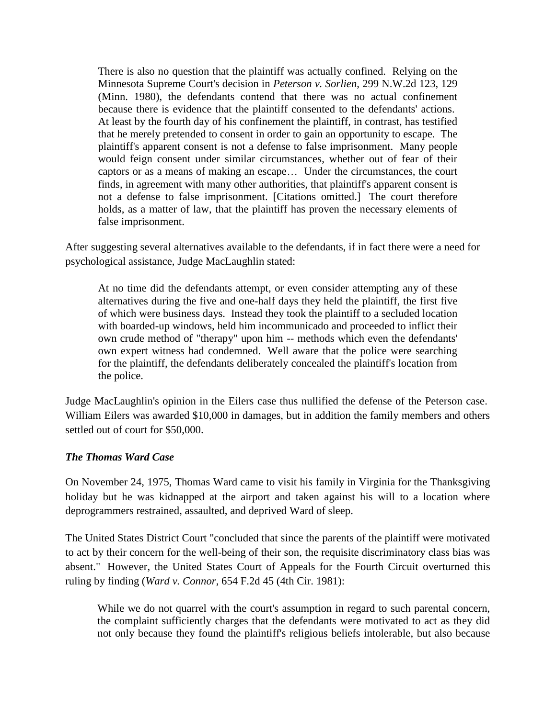There is also no question that the plaintiff was actually confined. Relying on the Minnesota Supreme Court's decision in *Peterson v. Sorlien*, 299 N.W.2d 123, 129 (Minn. 1980), the defendants contend that there was no actual confinement because there is evidence that the plaintiff consented to the defendants' actions. At least by the fourth day of his confinement the plaintiff, in contrast, has testified that he merely pretended to consent in order to gain an opportunity to escape. The plaintiff's apparent consent is not a defense to false imprisonment. Many people would feign consent under similar circumstances, whether out of fear of their captors or as a means of making an escape… Under the circumstances, the court finds, in agreement with many other authorities, that plaintiff's apparent consent is not a defense to false imprisonment. [Citations omitted.] The court therefore holds, as a matter of law, that the plaintiff has proven the necessary elements of false imprisonment.

After suggesting several alternatives available to the defendants, if in fact there were a need for psychological assistance, Judge MacLaughlin stated:

At no time did the defendants attempt, or even consider attempting any of these alternatives during the five and one-half days they held the plaintiff, the first five of which were business days. Instead they took the plaintiff to a secluded location with boarded-up windows, held him incommunicado and proceeded to inflict their own crude method of "therapy" upon him -- methods which even the defendants' own expert witness had condemned. Well aware that the police were searching for the plaintiff, the defendants deliberately concealed the plaintiff's location from the police.

Judge MacLaughlin's opinion in the Eilers case thus nullified the defense of the Peterson case. William Eilers was awarded \$10,000 in damages, but in addition the family members and others settled out of court for \$50,000.

#### *The Thomas Ward Case*

On November 24, 1975, Thomas Ward came to visit his family in Virginia for the Thanksgiving holiday but he was kidnapped at the airport and taken against his will to a location where deprogrammers restrained, assaulted, and deprived Ward of sleep.

The United States District Court "concluded that since the parents of the plaintiff were motivated to act by their concern for the well-being of their son, the requisite discriminatory class bias was absent." However, the United States Court of Appeals for the Fourth Circuit overturned this ruling by finding (*Ward v. Connor*, 654 F.2d 45 (4th Cir. 1981):

While we do not quarrel with the court's assumption in regard to such parental concern, the complaint sufficiently charges that the defendants were motivated to act as they did not only because they found the plaintiff's religious beliefs intolerable, but also because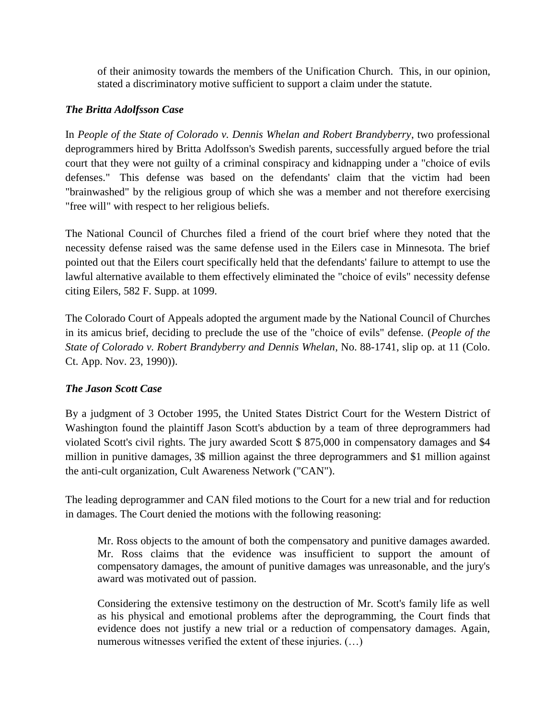of their animosity towards the members of the Unification Church. This, in our opinion, stated a discriminatory motive sufficient to support a claim under the statute.

## *The Britta Adolfsson Case*

In *People of the State of Colorado v. Dennis Whelan and Robert Brandyberry*, two professional deprogrammers hired by Britta Adolfsson's Swedish parents, successfully argued before the trial court that they were not guilty of a criminal conspiracy and kidnapping under a "choice of evils defenses." This defense was based on the defendants' claim that the victim had been "brainwashed" by the religious group of which she was a member and not therefore exercising "free will" with respect to her religious beliefs.

The National Council of Churches filed a friend of the court brief where they noted that the necessity defense raised was the same defense used in the Eilers case in Minnesota. The brief pointed out that the Eilers court specifically held that the defendants' failure to attempt to use the lawful alternative available to them effectively eliminated the "choice of evils" necessity defense citing Eilers, 582 F. Supp. at 1099.

The Colorado Court of Appeals adopted the argument made by the National Council of Churches in its amicus brief, deciding to preclude the use of the "choice of evils" defense. (*People of the State of Colorado v. Robert Brandyberry and Dennis Whelan*, No. 88-1741, slip op. at 11 (Colo. Ct. App. Nov. 23, 1990)).

## *The Jason Scott Case*

By a judgment of 3 October 1995, the United States District Court for the Western District of Washington found the plaintiff Jason Scott's abduction by a team of three deprogrammers had violated Scott's civil rights. The jury awarded Scott \$ 875,000 in compensatory damages and \$4 million in punitive damages, 3\$ million against the three deprogrammers and \$1 million against the anti-cult organization, Cult Awareness Network ("CAN").

The leading deprogrammer and CAN filed motions to the Court for a new trial and for reduction in damages. The Court denied the motions with the following reasoning:

Mr. Ross objects to the amount of both the compensatory and punitive damages awarded. Mr. Ross claims that the evidence was insufficient to support the amount of compensatory damages, the amount of punitive damages was unreasonable, and the jury's award was motivated out of passion.

Considering the extensive testimony on the destruction of Mr. Scott's family life as well as his physical and emotional problems after the deprogramming, the Court finds that evidence does not justify a new trial or a reduction of compensatory damages. Again, numerous witnesses verified the extent of these injuries. (…)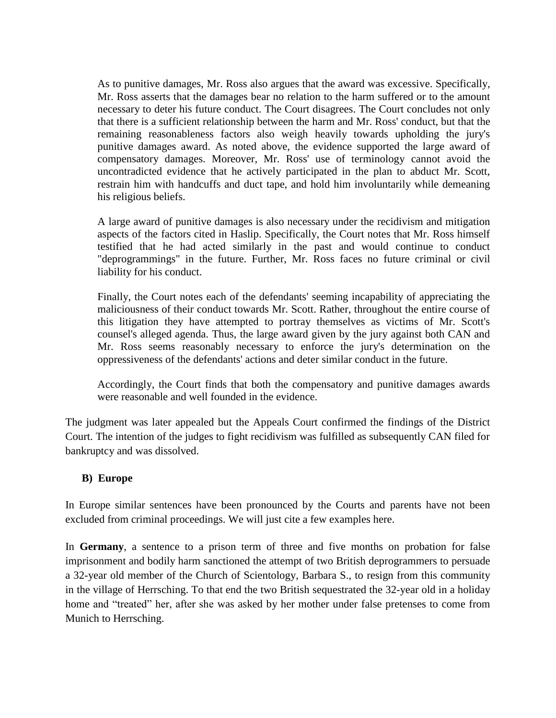As to punitive damages, Mr. Ross also argues that the award was excessive. Specifically, Mr. Ross asserts that the damages bear no relation to the harm suffered or to the amount necessary to deter his future conduct. The Court disagrees. The Court concludes not only that there is a sufficient relationship between the harm and Mr. Ross' conduct, but that the remaining reasonableness factors also weigh heavily towards upholding the jury's punitive damages award. As noted above, the evidence supported the large award of compensatory damages. Moreover, Mr. Ross' use of terminology cannot avoid the uncontradicted evidence that he actively participated in the plan to abduct Mr. Scott, restrain him with handcuffs and duct tape, and hold him involuntarily while demeaning his religious beliefs.

A large award of punitive damages is also necessary under the recidivism and mitigation aspects of the factors cited in Haslip. Specifically, the Court notes that Mr. Ross himself testified that he had acted similarly in the past and would continue to conduct "deprogrammings" in the future. Further, Mr. Ross faces no future criminal or civil liability for his conduct.

Finally, the Court notes each of the defendants' seeming incapability of appreciating the maliciousness of their conduct towards Mr. Scott. Rather, throughout the entire course of this litigation they have attempted to portray themselves as victims of Mr. Scott's counsel's alleged agenda. Thus, the large award given by the jury against both CAN and Mr. Ross seems reasonably necessary to enforce the jury's determination on the oppressiveness of the defendants' actions and deter similar conduct in the future.

Accordingly, the Court finds that both the compensatory and punitive damages awards were reasonable and well founded in the evidence.

The judgment was later appealed but the Appeals Court confirmed the findings of the District Court. The intention of the judges to fight recidivism was fulfilled as subsequently CAN filed for bankruptcy and was dissolved.

#### **B) Europe**

In Europe similar sentences have been pronounced by the Courts and parents have not been excluded from criminal proceedings. We will just cite a few examples here.

In **Germany**, a sentence to a prison term of three and five months on probation for false imprisonment and bodily harm sanctioned the attempt of two British deprogrammers to persuade a 32-year old member of the Church of Scientology, Barbara S., to resign from this community in the village of Herrsching. To that end the two British sequestrated the 32-year old in a holiday home and "treated" her, after she was asked by her mother under false pretenses to come from Munich to Herrsching.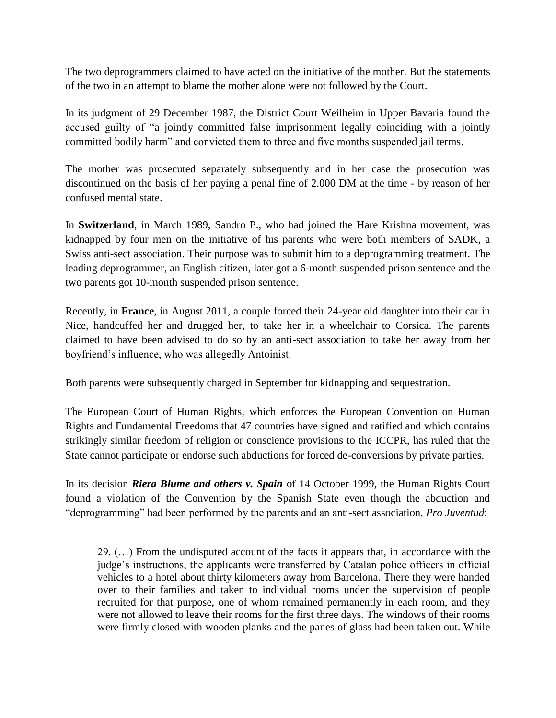The two deprogrammers claimed to have acted on the initiative of the mother. But the statements of the two in an attempt to blame the mother alone were not followed by the Court.

In its judgment of 29 December 1987, the District Court Weilheim in Upper Bavaria found the accused guilty of "a jointly committed false imprisonment legally coinciding with a jointly committed bodily harm" and convicted them to three and five months suspended jail terms.

The mother was prosecuted separately subsequently and in her case the prosecution was discontinued on the basis of her paying a penal fine of 2.000 DM at the time - by reason of her confused mental state.

In **Switzerland**, in March 1989, Sandro P., who had joined the Hare Krishna movement, was kidnapped by four men on the initiative of his parents who were both members of SADK, a Swiss anti-sect association. Their purpose was to submit him to a deprogramming treatment. The leading deprogrammer, an English citizen, later got a 6-month suspended prison sentence and the two parents got 10-month suspended prison sentence.

Recently, in **France**, in August 2011, a couple forced their 24-year old daughter into their car in Nice, handcuffed her and drugged her, to take her in a wheelchair to Corsica. The parents claimed to have been advised to do so by an anti-sect association to take her away from her boyfriend's influence, who was allegedly Antoinist.

Both parents were subsequently charged in September for kidnapping and sequestration.

The European Court of Human Rights, which enforces the European Convention on Human Rights and Fundamental Freedoms that 47 countries have signed and ratified and which contains strikingly similar freedom of religion or conscience provisions to the ICCPR, has ruled that the State cannot participate or endorse such abductions for forced de-conversions by private parties.

In its decision *Riera Blume and others v. Spain* of 14 October 1999, the Human Rights Court found a violation of the Convention by the Spanish State even though the abduction and "deprogramming" had been performed by the parents and an anti-sect association, *Pro Juventud*:

29. (…) From the undisputed account of the facts it appears that, in accordance with the judge's instructions, the applicants were transferred by Catalan police officers in official vehicles to a hotel about thirty kilometers away from Barcelona. There they were handed over to their families and taken to individual rooms under the supervision of people recruited for that purpose, one of whom remained permanently in each room, and they were not allowed to leave their rooms for the first three days. The windows of their rooms were firmly closed with wooden planks and the panes of glass had been taken out. While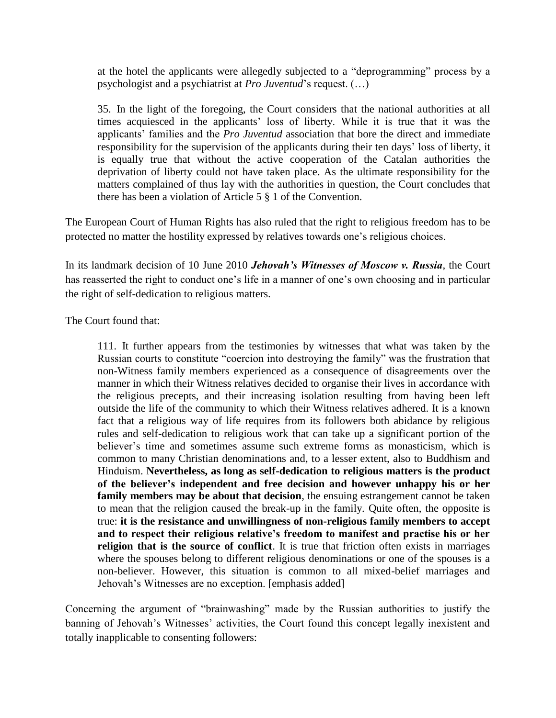at the hotel the applicants were allegedly subjected to a "deprogramming" process by a psychologist and a psychiatrist at *Pro Juventud*'s request. (…)

35. In the light of the foregoing, the Court considers that the national authorities at all times acquiesced in the applicants' loss of liberty. While it is true that it was the applicants' families and the *Pro Juventud* association that bore the direct and immediate responsibility for the supervision of the applicants during their ten days' loss of liberty, it is equally true that without the active cooperation of the Catalan authorities the deprivation of liberty could not have taken place. As the ultimate responsibility for the matters complained of thus lay with the authorities in question, the Court concludes that there has been a violation of Article 5 § 1 of the Convention.

The European Court of Human Rights has also ruled that the right to religious freedom has to be protected no matter the hostility expressed by relatives towards one's religious choices.

In its landmark decision of 10 June 2010 *Jehovah's Witnesses of Moscow v. Russia*, the Court has reasserted the right to conduct one's life in a manner of one's own choosing and in particular the right of self-dedication to religious matters.

The Court found that:

111. It further appears from the testimonies by witnesses that what was taken by the Russian courts to constitute "coercion into destroying the family" was the frustration that non-Witness family members experienced as a consequence of disagreements over the manner in which their Witness relatives decided to organise their lives in accordance with the religious precepts, and their increasing isolation resulting from having been left outside the life of the community to which their Witness relatives adhered. It is a known fact that a religious way of life requires from its followers both abidance by religious rules and self-dedication to religious work that can take up a significant portion of the believer's time and sometimes assume such extreme forms as monasticism, which is common to many Christian denominations and, to a lesser extent, also to Buddhism and Hinduism. **Nevertheless, as long as self-dedication to religious matters is the product of the believer's independent and free decision and however unhappy his or her family members may be about that decision**, the ensuing estrangement cannot be taken to mean that the religion caused the break-up in the family. Quite often, the opposite is true: **it is the resistance and unwillingness of non-religious family members to accept and to respect their religious relative's freedom to manifest and practise his or her religion that is the source of conflict**. It is true that friction often exists in marriages where the spouses belong to different religious denominations or one of the spouses is a non-believer. However, this situation is common to all mixed-belief marriages and Jehovah's Witnesses are no exception. [emphasis added]

Concerning the argument of "brainwashing" made by the Russian authorities to justify the banning of Jehovah's Witnesses' activities, the Court found this concept legally inexistent and totally inapplicable to consenting followers: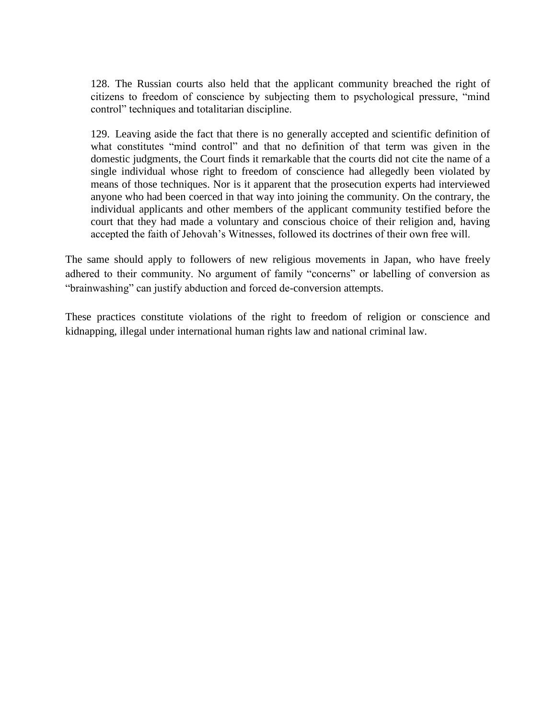128. The Russian courts also held that the applicant community breached the right of citizens to freedom of conscience by subjecting them to psychological pressure, "mind control" techniques and totalitarian discipline.

129. Leaving aside the fact that there is no generally accepted and scientific definition of what constitutes "mind control" and that no definition of that term was given in the domestic judgments, the Court finds it remarkable that the courts did not cite the name of a single individual whose right to freedom of conscience had allegedly been violated by means of those techniques. Nor is it apparent that the prosecution experts had interviewed anyone who had been coerced in that way into joining the community. On the contrary, the individual applicants and other members of the applicant community testified before the court that they had made a voluntary and conscious choice of their religion and, having accepted the faith of Jehovah's Witnesses, followed its doctrines of their own free will.

The same should apply to followers of new religious movements in Japan, who have freely adhered to their community. No argument of family "concerns" or labelling of conversion as "brainwashing" can justify abduction and forced de-conversion attempts.

These practices constitute violations of the right to freedom of religion or conscience and kidnapping, illegal under international human rights law and national criminal law.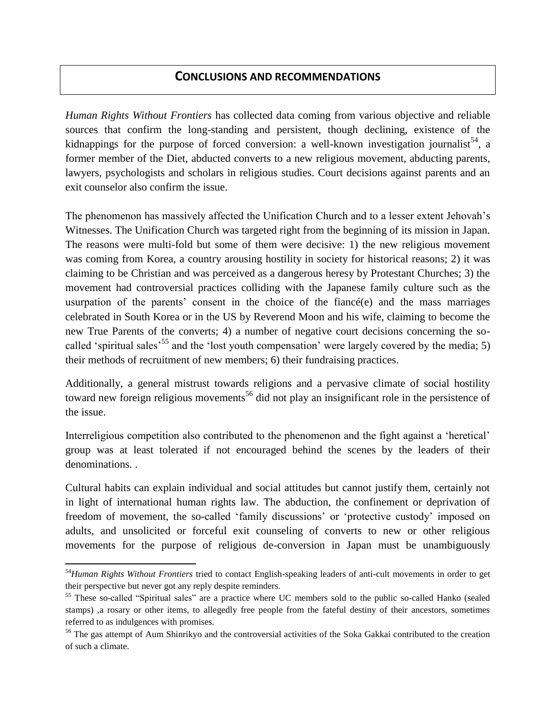## **CONCLUSIONS AND RECOMMENDATIONS**

*Human Rights Without Frontiers* has collected data coming from various objective and reliable sources that confirm the long-standing and persistent, though declining, existence of the kidnappings for the purpose of forced conversion: a well-known investigation journalist<sup>54</sup>, a former member of the Diet, abducted converts to a new religious movement, abducting parents, lawyers, psychologists and scholars in religious studies. Court decisions against parents and an exit counselor also confirm the issue.

The phenomenon has massively affected the Unification Church and to a lesser extent Jehovah's Witnesses. The Unification Church was targeted right from the beginning of its mission in Japan. The reasons were multi-fold but some of them were decisive: 1) the new religious movement was coming from Korea, a country arousing hostility in society for historical reasons; 2) it was claiming to be Christian and was perceived as a dangerous heresy by Protestant Churches; 3) the movement had controversial practices colliding with the Japanese family culture such as the usurpation of the parents' consent in the choice of the fiancé(e) and the mass marriages celebrated in South Korea or in the US by Reverend Moon and his wife, claiming to become the new True Parents of the converts; 4) a number of negative court decisions concerning the socalled 'spiritual sales<sup>55</sup> and the 'lost youth compensation' were largely covered by the media; 5) their methods of recruitment of new members; 6) their fundraising practices.

Additionally, a general mistrust towards religions and a pervasive climate of social hostility toward new foreign religious movements<sup>56</sup> did not play an insignificant role in the persistence of the issue.

Interreligious competition also contributed to the phenomenon and the fight against a 'heretical' group was at least tolerated if not encouraged behind the scenes by the leaders of their denominations. .

Cultural habits can explain individual and social attitudes but cannot justify them, certainly not in light of international human rights law. The abduction, the confinement or deprivation of freedom of movement, the so-called 'family discussions' or 'protective custody' imposed on adults, and unsolicited or forceful exit counseling of converts to new or other religious movements for the purpose of religious de-conversion in Japan must be unambiguously

 $\overline{\phantom{a}}$ 

<sup>54</sup>*Human Rights Without Frontiers* tried to contact English-speaking leaders of anti-cult movements in order to get their perspective but never got any reply despite reminders.

<sup>55</sup> These so-called "Spiritual sales" are a practice where UC members sold to the public so-called Hanko (sealed stamps) ,a rosary or other items, to allegedly free people from the fateful destiny of their ancestors, sometimes referred to as indulgences with promises.

<sup>&</sup>lt;sup>56</sup> The gas attempt of Aum Shinrikyo and the controversial activities of the Soka Gakkai contributed to the creation of such a climate.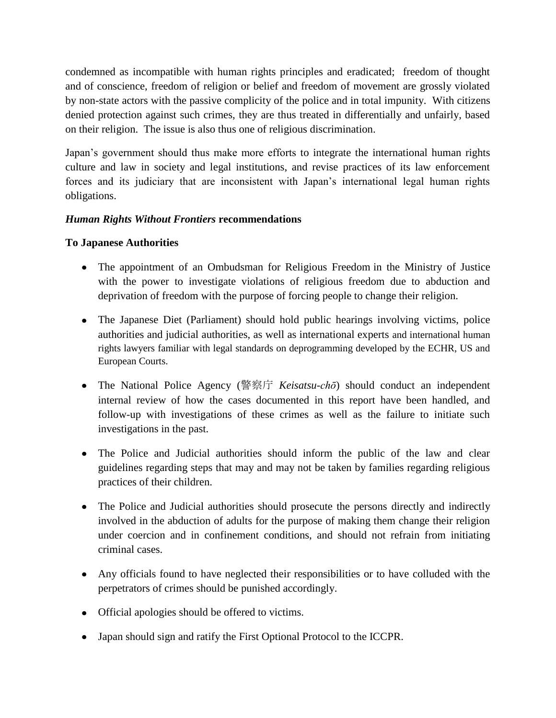condemned as incompatible with human rights principles and eradicated; freedom of thought and of conscience, freedom of religion or belief and freedom of movement are grossly violated by non-state actors with the passive complicity of the police and in total impunity. With citizens denied protection against such crimes, they are thus treated in differentially and unfairly, based on their religion. The issue is also thus one of religious discrimination.

Japan's government should thus make more efforts to integrate the international human rights culture and law in society and legal institutions, and revise practices of its law enforcement forces and its judiciary that are inconsistent with Japan's international legal human rights obligations.

## *Human Rights Without Frontiers* **recommendations**

#### **To Japanese Authorities**

- The appointment of an Ombudsman for Religious Freedom in the Ministry of Justice with the power to investigate violations of religious freedom due to abduction and deprivation of freedom with the purpose of forcing people to change their religion.
- The Japanese Diet (Parliament) should hold public hearings involving victims, police authorities and judicial authorities, as well as international experts and international human rights lawyers familiar with legal standards on deprogramming developed by the ECHR, US and European Courts.
- The National Police Agency (警察庁 *Keisatsu-chō*) should conduct an independent internal review of how the cases documented in this report have been handled, and follow-up with investigations of these crimes as well as the failure to initiate such investigations in the past.
- The Police and Judicial authorities should inform the public of the law and clear guidelines regarding steps that may and may not be taken by families regarding religious practices of their children.
- The Police and Judicial authorities should prosecute the persons directly and indirectly involved in the abduction of adults for the purpose of making them change their religion under coercion and in confinement conditions, and should not refrain from initiating criminal cases.
- Any officials found to have neglected their responsibilities or to have colluded with the perpetrators of crimes should be punished accordingly.
- Official apologies should be offered to victims.
- Japan should sign and ratify the First Optional Protocol to the ICCPR.